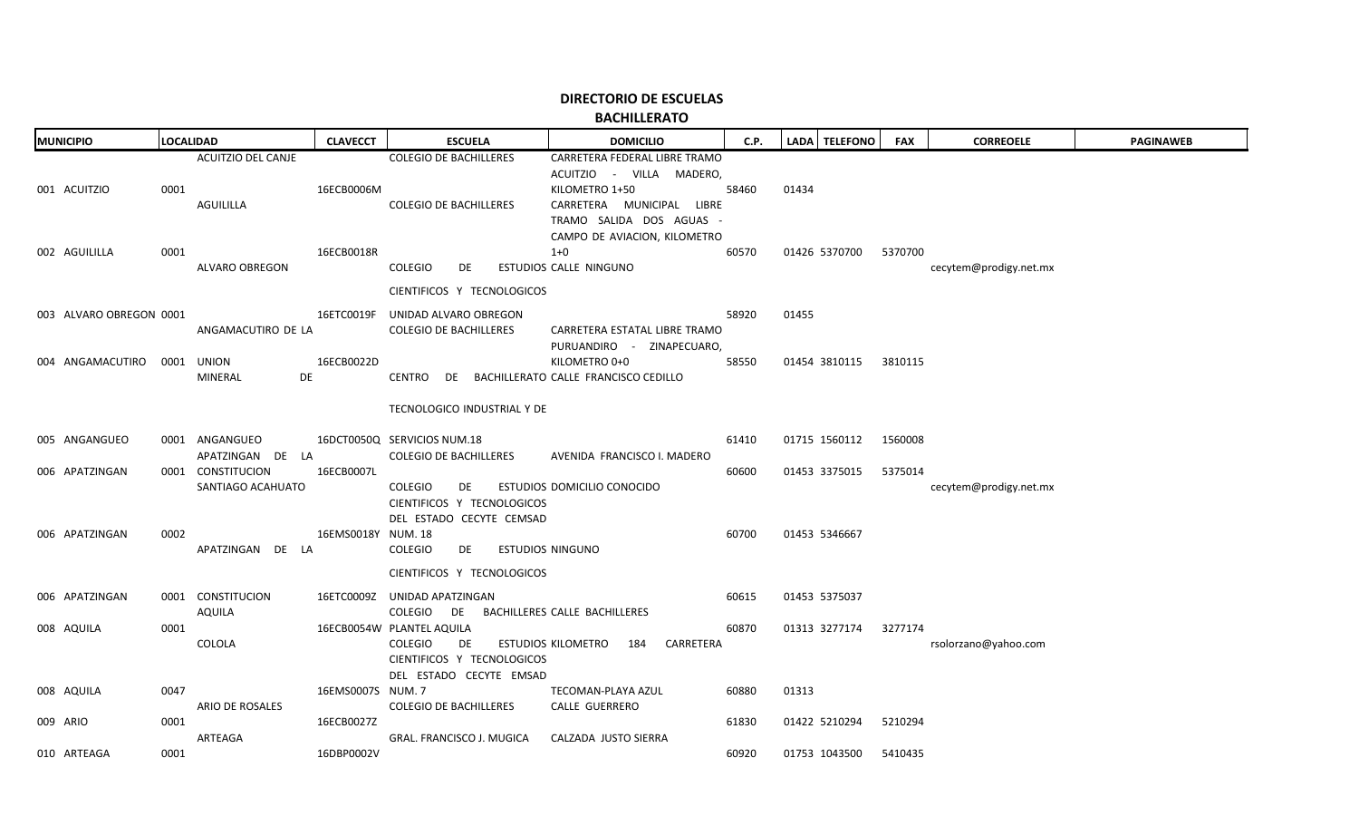|                         | <b>BACHILLERATO</b>                            |                    |                                                                                                            |                                                                                                                                                                      |       |               |            |                        |                  |  |  |  |
|-------------------------|------------------------------------------------|--------------------|------------------------------------------------------------------------------------------------------------|----------------------------------------------------------------------------------------------------------------------------------------------------------------------|-------|---------------|------------|------------------------|------------------|--|--|--|
| <b>MUNICIPIO</b>        | <b>LOCALIDAD</b>                               | <b>CLAVECCT</b>    | <b>ESCUELA</b>                                                                                             | <b>DOMICILIO</b>                                                                                                                                                     | C.P.  | LADA TELEFONO | <b>FAX</b> | <b>CORREOELE</b>       | <b>PAGINAWEB</b> |  |  |  |
| 001 ACUITZIO            | <b>ACUITZIO DEL CANJE</b><br>0001<br>AGUILILLA | 16ECB0006M         | <b>COLEGIO DE BACHILLERES</b><br><b>COLEGIO DE BACHILLERES</b>                                             | CARRETERA FEDERAL LIBRE TRAMO<br>ACUITZIO - VILLA MADERO,<br>KILOMETRO 1+50<br>CARRETERA MUNICIPAL LIBRE<br>TRAMO SALIDA DOS AGUAS -<br>CAMPO DE AVIACION, KILOMETRO | 58460 | 01434         |            |                        |                  |  |  |  |
| 002 AGUILILLA           | 0001<br>ALVARO OBREGON                         | 16ECB0018R         | <b>COLEGIO</b><br>DE                                                                                       | $1+0$<br>ESTUDIOS CALLE NINGUNO                                                                                                                                      | 60570 | 01426 5370700 | 5370700    | cecytem@prodigy.net.mx |                  |  |  |  |
|                         |                                                |                    | CIENTIFICOS Y TECNOLOGICOS                                                                                 |                                                                                                                                                                      |       |               |            |                        |                  |  |  |  |
| 003 ALVARO OBREGON 0001 | ANGAMACUTIRO DE LA                             |                    | 16ETC0019F UNIDAD ALVARO OBREGON<br><b>COLEGIO DE BACHILLERES</b>                                          | CARRETERA ESTATAL LIBRE TRAMO<br>PURUANDIRO - ZINAPECUARO,                                                                                                           | 58920 | 01455         |            |                        |                  |  |  |  |
| 004 ANGAMACUTIRO        | 0001 UNION<br>MINERAL                          | 16ECB0022D<br>DE   | CENTRO DE BACHILLERATO CALLE FRANCISCO CEDILLO                                                             | KILOMETRO 0+0                                                                                                                                                        | 58550 | 01454 3810115 | 3810115    |                        |                  |  |  |  |
|                         |                                                |                    | TECNOLOGICO INDUSTRIAL Y DE                                                                                |                                                                                                                                                                      |       |               |            |                        |                  |  |  |  |
| 005 ANGANGUEO           | 0001 ANGANGUEO<br>APATZINGAN DE LA             |                    | 16DCT0050Q SERVICIOS NUM.18<br><b>COLEGIO DE BACHILLERES</b>                                               | AVENIDA FRANCISCO I. MADERO                                                                                                                                          | 61410 | 01715 1560112 | 1560008    |                        |                  |  |  |  |
| 006 APATZINGAN          | 0001 CONSTITUCION<br>SANTIAGO ACAHUATO         | 16ECB0007L         | <b>COLEGIO</b><br>DE<br>CIENTIFICOS Y TECNOLOGICOS<br>DEL ESTADO CECYTE CEMSAD                             | ESTUDIOS DOMICILIO CONOCIDO                                                                                                                                          | 60600 | 01453 3375015 | 5375014    | cecytem@prodigy.net.mx |                  |  |  |  |
| 006 APATZINGAN          | 0002<br>APATZINGAN DE LA                       | 16EMS0018Y NUM. 18 | <b>COLEGIO</b><br>DE<br>CIENTIFICOS Y TECNOLOGICOS                                                         | ESTUDIOS NINGUNO                                                                                                                                                     | 60700 | 01453 5346667 |            |                        |                  |  |  |  |
| 006 APATZINGAN          | 0001 CONSTITUCION<br>AQUILA                    |                    | 16ETC0009Z UNIDAD APATZINGAN<br>COLEGIO DE                                                                 | BACHILLERES CALLE BACHILLERES                                                                                                                                        | 60615 | 01453 5375037 |            |                        |                  |  |  |  |
| 008 AQUILA              | 0001<br>COLOLA                                 |                    | 16ECB0054W PLANTEL AQUILA<br><b>COLEGIO</b><br>DE<br>CIENTIFICOS Y TECNOLOGICOS<br>DEL ESTADO CECYTE EMSAD | ESTUDIOS KILOMETRO 184 CARRETERA                                                                                                                                     | 60870 | 01313 3277174 | 3277174    | rsolorzano@yahoo.com   |                  |  |  |  |
| 008 AQUILA              | 0047<br>ARIO DE ROSALES                        | 16EMS0007S NUM. 7  | <b>COLEGIO DE BACHILLERES</b>                                                                              | TECOMAN-PLAYA AZUL<br>CALLE GUERRERO                                                                                                                                 | 60880 | 01313         |            |                        |                  |  |  |  |
| 009 ARIO                | 0001                                           | 16ECB0027Z         |                                                                                                            |                                                                                                                                                                      | 61830 | 01422 5210294 | 5210294    |                        |                  |  |  |  |
| 010 ARTEAGA             | ARTEAGA<br>0001                                | 16DBP0002V         | GRAL. FRANCISCO J. MUGICA                                                                                  | CALZADA JUSTO SIERRA                                                                                                                                                 | 60920 | 01753 1043500 | 5410435    |                        |                  |  |  |  |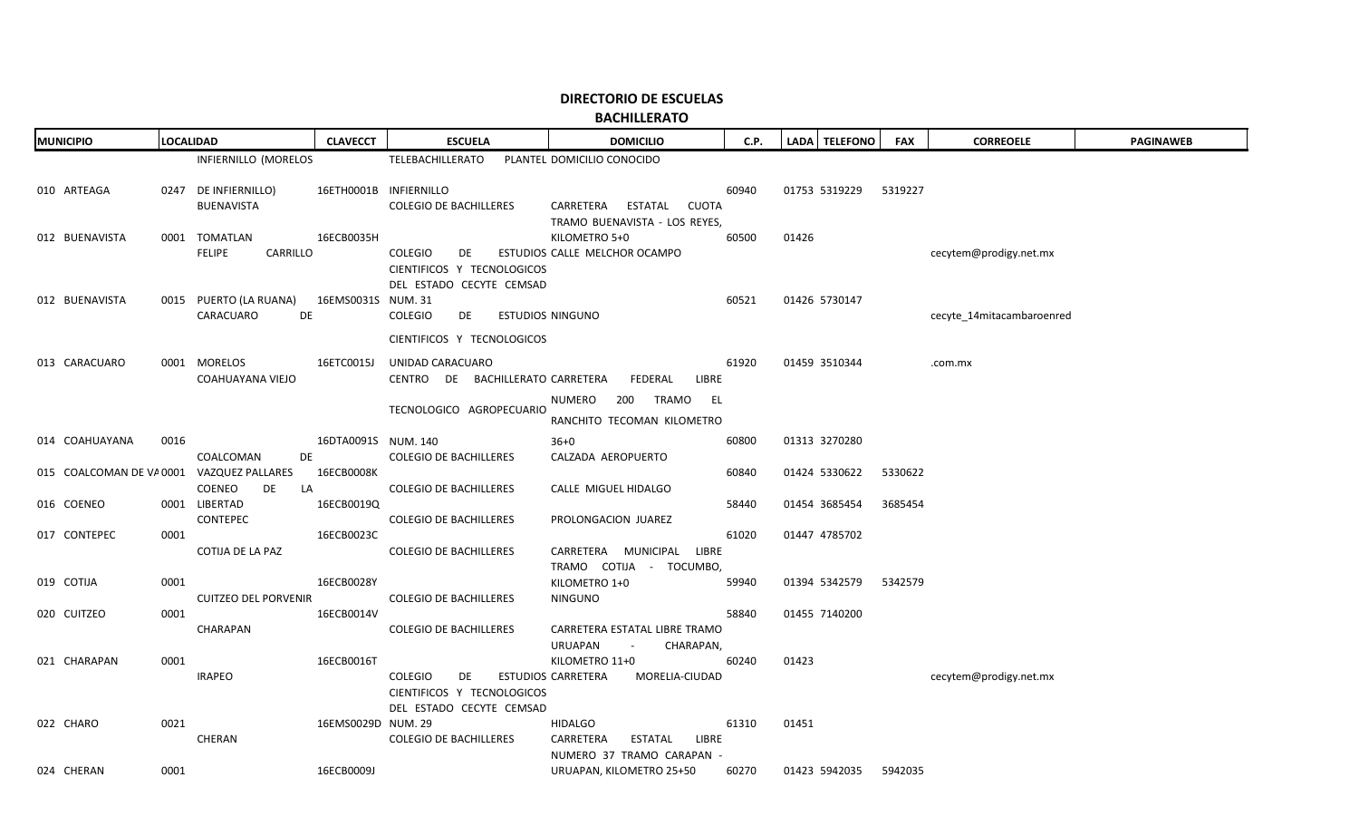**BACHILLERATO**

| <b>MUNICIPIO</b> | <b>LOCALIDAD</b>                                       | <b>CLAVECCT</b>     | <b>ESCUELA</b>                                                                 | <b>DOMICILIO</b>                                            | C.P.  | LADA TELEFONO | <b>FAX</b> | <b>CORREOELE</b>            | <b>PAGINAWEB</b> |
|------------------|--------------------------------------------------------|---------------------|--------------------------------------------------------------------------------|-------------------------------------------------------------|-------|---------------|------------|-----------------------------|------------------|
|                  | INFIERNILLO (MORELOS                                   |                     | TELEBACHILLERATO                                                               | PLANTEL DOMICILIO CONOCIDO                                  |       |               |            |                             |                  |
| 010 ARTEAGA      | 0247 DE INFIERNILLO)<br><b>BUENAVISTA</b>              |                     | 16ETH0001B INFIERNILLO<br><b>COLEGIO DE BACHILLERES</b>                        | CARRETERA ESTATAL<br>CUOTA<br>TRAMO BUENAVISTA - LOS REYES, | 60940 | 01753 5319229 | 5319227    |                             |                  |
| 012 BUENAVISTA   | 0001 TOMATLAN<br><b>FELIPE</b><br>CARRILLO             | 16ECB0035H          | COLEGIO<br>DE<br>CIENTIFICOS Y TECNOLOGICOS                                    | KILOMETRO 5+0<br>ESTUDIOS CALLE MELCHOR OCAMPO              | 60500 | 01426         |            | cecytem@prodigy.net.mx      |                  |
| 012 BUENAVISTA   | 0015 PUERTO (LA RUANA) 16EMS0031S NUM. 31<br>CARACUARO | DE                  | DEL ESTADO CECYTE CEMSAD<br><b>COLEGIO</b><br>DE <b>DE</b>                     | ESTUDIOS NINGUNO                                            | 60521 | 01426 5730147 |            | cecyte 14 mitacambaroen red |                  |
|                  |                                                        |                     | CIENTIFICOS Y TECNOLOGICOS                                                     |                                                             |       |               |            |                             |                  |
| 013 CARACUARO    | 0001 MORELOS<br>COAHUAYANA VIEJO                       | 16ETC0015J          | UNIDAD CARACUARO<br>CENTRO DE BACHILLERATO CARRETERA FEDERAL                   | LIBRE                                                       | 61920 | 01459 3510344 |            | .com.mx                     |                  |
|                  |                                                        |                     | TECNOLOGICO AGROPECUARIO                                                       | NUMERO 200 TRAMO EL<br>RANCHITO TECOMAN KILOMETRO           |       |               |            |                             |                  |
| 014 COAHUAYANA   | 0016                                                   | 16DTA0091S NUM. 140 |                                                                                | $36 + 0$                                                    | 60800 | 01313 3270280 |            |                             |                  |
|                  | COALCOMAN<br>015 COALCOMAN DE VA 0001 VAZQUEZ PALLARES | DE<br>16ECB0008K    | <b>COLEGIO DE BACHILLERES</b>                                                  | CALZADA AEROPUERTO                                          | 60840 | 01424 5330622 | 5330622    |                             |                  |
| 016 COENEO       | COENEO<br>DE<br>0001 LIBERTAD<br>CONTEPEC              | LA<br>16ECB0019Q    | <b>COLEGIO DE BACHILLERES</b><br><b>COLEGIO DE BACHILLERES</b>                 | CALLE MIGUEL HIDALGO<br>PROLONGACION JUAREZ                 | 58440 | 01454 3685454 | 3685454    |                             |                  |
| 017 CONTEPEC     | 0001<br>COTIJA DE LA PAZ                               | 16ECB0023C          | <b>COLEGIO DE BACHILLERES</b>                                                  | CARRETERA MUNICIPAL LIBRE<br>TRAMO COTIJA - TOCUMBO,        | 61020 | 01447 4785702 |            |                             |                  |
| 019 COTIJA       | 0001<br><b>CUITZEO DEL PORVENIR</b>                    | 16ECB0028Y          | <b>COLEGIO DE BACHILLERES</b>                                                  | KILOMETRO 1+0<br>NINGUNO                                    | 59940 | 01394 5342579 | 5342579    |                             |                  |
| 020 CUITZEO      | 0001<br>CHARAPAN                                       | 16ECB0014V          | <b>COLEGIO DE BACHILLERES</b>                                                  | CARRETERA ESTATAL LIBRE TRAMO                               | 58840 | 01455 7140200 |            |                             |                  |
|                  |                                                        |                     |                                                                                | URUAPAN<br>CHARAPAN,<br><b>Contractor</b>                   |       |               |            |                             |                  |
| 021 CHARAPAN     | 0001<br><b>IRAPEO</b>                                  | 16ECB0016T          | <b>COLEGIO</b><br>DE<br>CIENTIFICOS Y TECNOLOGICOS<br>DEL ESTADO CECYTE CEMSAD | KILOMETRO 11+0<br>ESTUDIOS CARRETERA<br>MORELIA-CIUDAD      | 60240 | 01423         |            | cecytem@prodigy.net.mx      |                  |
| 022 CHARO        | 0021<br>CHERAN                                         | 16EMS0029D NUM. 29  | <b>COLEGIO DE BACHILLERES</b>                                                  | <b>HIDALGO</b><br>CARRETERA<br>ESTATAL LIBRE                | 61310 | 01451         |            |                             |                  |
| 024 CHERAN       | 0001                                                   | 16ECB0009J          |                                                                                | NUMERO 37 TRAMO CARAPAN -<br>URUAPAN, KILOMETRO 25+50       | 60270 | 01423 5942035 | 5942035    |                             |                  |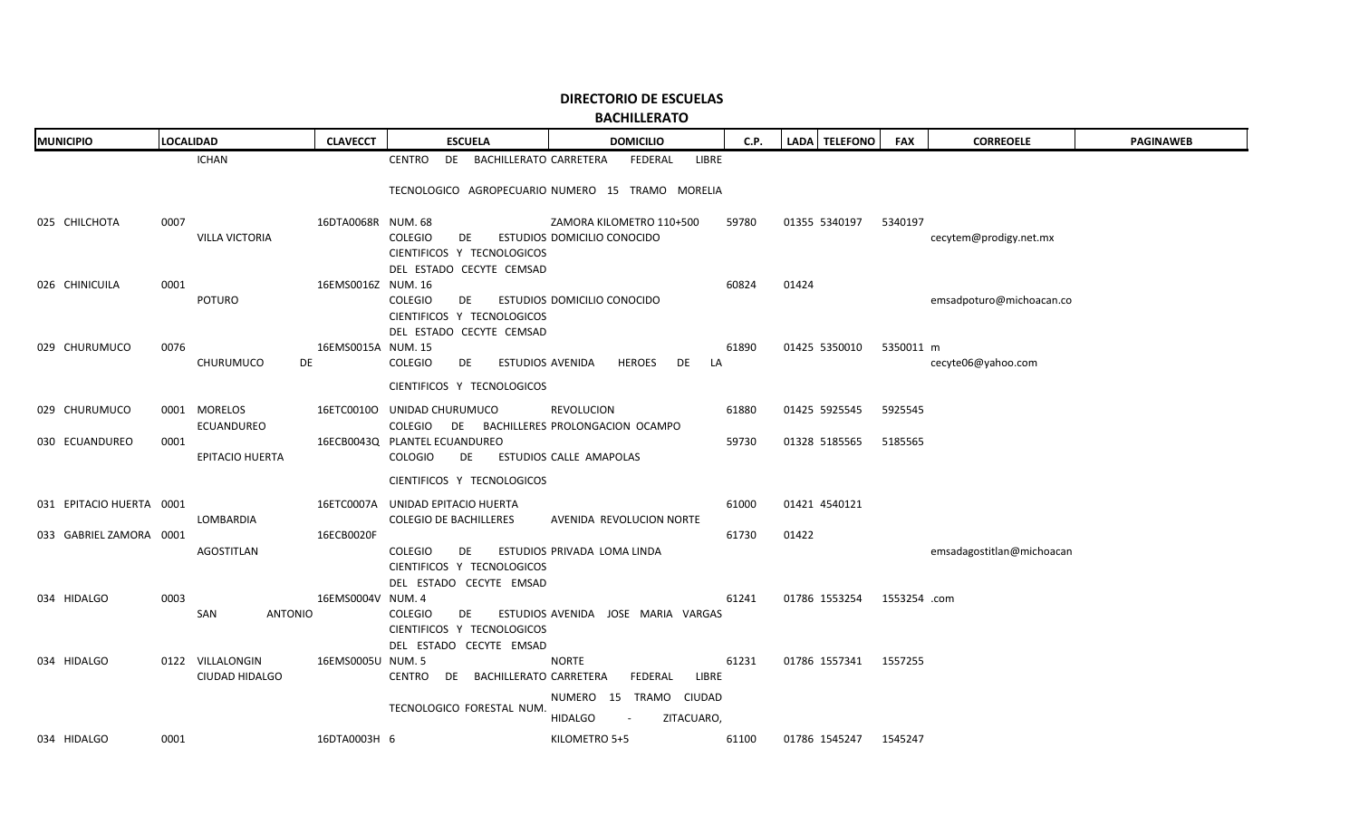| <b>MUNICIPIO</b> |                          |      | <b>LOCALIDAD</b>       | <b>CLAVECCT</b>    | <b>ESCUELA</b>                                         | <b>DOMICILIO</b>                                 | C.P.  |       | LADA TELEFONO         | <b>FAX</b>   | <b>CORREOELE</b>          | <b>PAGINAWEB</b> |
|------------------|--------------------------|------|------------------------|--------------------|--------------------------------------------------------|--------------------------------------------------|-------|-------|-----------------------|--------------|---------------------------|------------------|
|                  |                          |      | <b>ICHAN</b>           |                    | DE BACHILLERATO CARRETERA<br><b>CENTRO</b>             | FEDERAL<br>LIBRE                                 |       |       |                       |              |                           |                  |
|                  |                          |      |                        |                    |                                                        | TECNOLOGICO AGROPECUARIO NUMERO 15 TRAMO MORELIA |       |       |                       |              |                           |                  |
|                  | 025 CHILCHOTA            | 0007 |                        | 16DTA0068R NUM. 68 |                                                        | ZAMORA KILOMETRO 110+500                         | 59780 |       | 01355 5340197         | 5340197      |                           |                  |
|                  |                          |      | <b>VILLA VICTORIA</b>  |                    | <b>COLEGIO</b><br>DE                                   | ESTUDIOS DOMICILIO CONOCIDO                      |       |       |                       |              | cecytem@prodigy.net.mx    |                  |
|                  |                          |      |                        |                    | CIENTIFICOS Y TECNOLOGICOS<br>DEL ESTADO CECYTE CEMSAD |                                                  |       |       |                       |              |                           |                  |
|                  | 026 CHINICUILA           | 0001 |                        | 16EMS0016Z NUM. 16 |                                                        |                                                  | 60824 | 01424 |                       |              |                           |                  |
|                  |                          |      | POTURO                 |                    | <b>COLEGIO</b><br>DE                                   | ESTUDIOS DOMICILIO CONOCIDO                      |       |       |                       |              | emsadpoturo@michoacan.co  |                  |
|                  |                          |      |                        |                    | CIENTIFICOS Y TECNOLOGICOS                             |                                                  |       |       |                       |              |                           |                  |
|                  | 029 CHURUMUCO            | 0076 |                        | 16EMS0015A NUM. 15 | DEL ESTADO CECYTE CEMSAD                               |                                                  | 61890 |       | 01425 5350010         | 5350011 m    |                           |                  |
|                  |                          |      | CHURUMUCO              | DE                 | COLEGIO<br>DE<br>ESTUDIOS AVENIDA                      | <b>HEROES</b><br>DE<br>LA                        |       |       |                       |              | cecyte06@yahoo.com        |                  |
|                  |                          |      |                        |                    | CIENTIFICOS Y TECNOLOGICOS                             |                                                  |       |       |                       |              |                           |                  |
|                  | 029 CHURUMUCO            |      | 0001 MORELOS           |                    | 16ETC0010O UNIDAD CHURUMUCO                            | REVOLUCION                                       | 61880 |       | 01425 5925545         | 5925545      |                           |                  |
|                  |                          |      | <b>ECUANDUREO</b>      |                    | COLEGIO DE BACHILLERES PROLONGACION OCAMPO             |                                                  |       |       |                       |              |                           |                  |
|                  | 030 ECUANDUREO           | 0001 | <b>EPITACIO HUERTA</b> |                    | 16ECB0043Q PLANTEL ECUANDUREO<br>COLOGIO<br>DE         | ESTUDIOS CALLE AMAPOLAS                          | 59730 |       | 01328 5185565         | 5185565      |                           |                  |
|                  |                          |      |                        |                    | CIENTIFICOS Y TECNOLOGICOS                             |                                                  |       |       |                       |              |                           |                  |
|                  | 031 EPITACIO HUERTA 0001 |      |                        |                    | 16ETC0007A UNIDAD EPITACIO HUERTA                      |                                                  | 61000 |       | 01421 4540121         |              |                           |                  |
|                  |                          |      | LOMBARDIA              |                    | <b>COLEGIO DE BACHILLERES</b>                          | AVENIDA REVOLUCION NORTE                         |       |       |                       |              |                           |                  |
|                  | 033 GABRIEL ZAMORA 0001  |      |                        | 16ECB0020F         |                                                        |                                                  | 61730 | 01422 |                       |              |                           |                  |
|                  |                          |      | <b>AGOSTITLAN</b>      |                    | <b>COLEGIO</b><br>DE<br>CIENTIFICOS Y TECNOLOGICOS     | ESTUDIOS PRIVADA LOMA LINDA                      |       |       |                       |              | emsadagostitlan@michoacan |                  |
|                  |                          |      |                        |                    | DEL ESTADO CECYTE EMSAD                                |                                                  |       |       |                       |              |                           |                  |
|                  | 034 HIDALGO              | 0003 |                        | 16EMS0004V NUM. 4  |                                                        |                                                  | 61241 |       | 01786 1553254         | 1553254 .com |                           |                  |
|                  |                          |      | SAN<br><b>ANTONIO</b>  |                    | <b>COLEGIO</b><br>DE<br>CIENTIFICOS Y TECNOLOGICOS     | ESTUDIOS AVENIDA JOSE MARIA VARGAS               |       |       |                       |              |                           |                  |
|                  |                          |      |                        |                    | DEL ESTADO CECYTE EMSAD                                |                                                  |       |       |                       |              |                           |                  |
|                  | 034 HIDALGO              |      | 0122 VILLALONGIN       | 16EMS0005U NUM. 5  |                                                        | <b>NORTE</b>                                     | 61231 |       | 01786 1557341 1557255 |              |                           |                  |
|                  |                          |      | CIUDAD HIDALGO         |                    | CENTRO DE BACHILLERATO CARRETERA                       | FEDERAL<br>LIBRE                                 |       |       |                       |              |                           |                  |
|                  |                          |      |                        |                    | TECNOLOGICO FORESTAL NUM.                              | NUMERO 15 TRAMO CIUDAD                           |       |       |                       |              |                           |                  |
|                  |                          |      |                        |                    |                                                        | <b>HIDALGO</b><br>ZITACUARO,<br>$\sim$           |       |       |                       |              |                           |                  |
|                  | 034 HIDALGO              | 0001 |                        | 16DTA0003H 6       |                                                        | KILOMETRO 5+5                                    | 61100 |       | 01786 1545247         | 1545247      |                           |                  |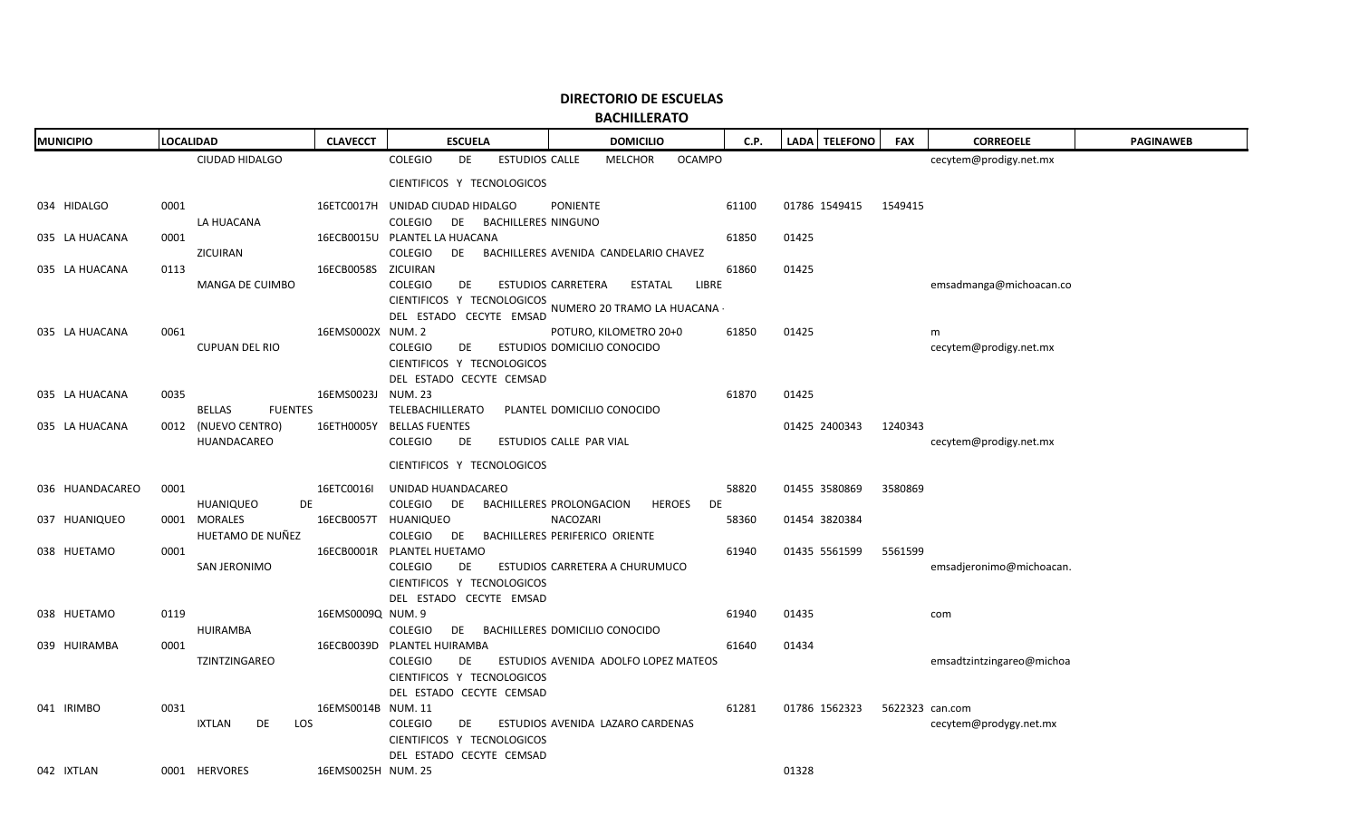**BACHILLERATO**

| <b>MUNICIPIO</b> | <b>LOCALIDAD</b>      |                  | <b>CLAVECCT</b>     | <b>ESCUELA</b>                                         | <b>DOMICILIO</b>                                        | C.P.  | LADA   TELEFONO | <b>FAX</b> | <b>CORREOELE</b>          | <b>PAGINAWEB</b> |
|------------------|-----------------------|------------------|---------------------|--------------------------------------------------------|---------------------------------------------------------|-------|-----------------|------------|---------------------------|------------------|
|                  | CIUDAD HIDALGO        |                  |                     | <b>COLEGIO</b><br>DE<br><b>ESTUDIOS CALLE</b>          | <b>MELCHOR</b><br><b>OCAMPO</b>                         |       |                 |            | cecytem@prodigy.net.mx    |                  |
|                  |                       |                  |                     | CIENTIFICOS Y TECNOLOGICOS                             |                                                         |       |                 |            |                           |                  |
| 034 HIDALGO      | 0001                  |                  |                     | 16ETC0017H UNIDAD CIUDAD HIDALGO                       | <b>PONIENTE</b>                                         | 61100 | 01786 1549415   | 1549415    |                           |                  |
|                  | LA HUACANA            |                  |                     | COLEGIO<br>DE BACHILLERES NINGUNO                      |                                                         |       |                 |            |                           |                  |
| 035 LA HUACANA   | 0001                  |                  |                     | 16ECB0015U PLANTEL LA HUACANA                          |                                                         | 61850 | 01425           |            |                           |                  |
|                  | ZICUIRAN              |                  |                     | COLEGIO<br>DE                                          | BACHILLERES AVENIDA CANDELARIO CHAVEZ                   |       |                 |            |                           |                  |
| 035 LA HUACANA   | 0113                  |                  | 16ECB0058S ZICUIRAN |                                                        |                                                         | 61860 | 01425           |            |                           |                  |
|                  |                       | MANGA DE CUIMBO  |                     | <b>COLEGIO</b><br>DE                                   | ESTUDIOS CARRETERA<br>LIBRE<br>ESTATAL                  |       |                 |            | emsadmanga@michoacan.co   |                  |
|                  |                       |                  |                     |                                                        | CIENTIFICOS Y TECNOLOGICOS NUMERO 20 TRAMO LA HUACANA - |       |                 |            |                           |                  |
|                  |                       |                  |                     | DEL ESTADO CECYTE EMSAD                                |                                                         |       |                 |            |                           |                  |
| 035 LA HUACANA   | 0061                  |                  | 16EMS0002X NUM. 2   |                                                        | POTURO, KILOMETRO 20+0                                  | 61850 | 01425           |            | m                         |                  |
|                  | <b>CUPUAN DEL RIO</b> |                  |                     | <b>COLEGIO</b><br>DE                                   | ESTUDIOS DOMICILIO CONOCIDO                             |       |                 |            | cecytem@prodigy.net.mx    |                  |
|                  |                       |                  |                     | CIENTIFICOS Y TECNOLOGICOS<br>DEL ESTADO CECYTE CEMSAD |                                                         |       |                 |            |                           |                  |
| 035 LA HUACANA   | 0035                  |                  | 16EMS0023J NUM. 23  |                                                        |                                                         | 61870 | 01425           |            |                           |                  |
|                  | <b>BELLAS</b>         | <b>FUENTES</b>   |                     | <b>TELEBACHILLERATO</b>                                | PLANTEL DOMICILIO CONOCIDO                              |       |                 |            |                           |                  |
| 035 LA HUACANA   | 0012 (NUEVO CENTRO)   |                  |                     | 16ETH0005Y BELLAS FUENTES                              |                                                         |       | 01425 2400343   | 1240343    |                           |                  |
|                  | HUANDACAREO           |                  |                     | <b>COLEGIO</b><br>DE                                   | ESTUDIOS CALLE PAR VIAL                                 |       |                 |            | cecytem@prodigy.net.mx    |                  |
|                  |                       |                  |                     | CIENTIFICOS Y TECNOLOGICOS                             |                                                         |       |                 |            |                           |                  |
|                  |                       |                  |                     |                                                        |                                                         |       |                 |            |                           |                  |
| 036 HUANDACAREO  | 0001                  |                  | 16ETC0016I          | UNIDAD HUANDACAREO                                     |                                                         | 58820 | 01455 3580869   | 3580869    |                           |                  |
|                  | HUANIQUEO             | <b>DE</b>        |                     | COLEGIO<br>DE                                          | BACHILLERES PROLONGACION<br><b>HEROES</b><br>DE         |       |                 |            |                           |                  |
| 037 HUANIQUEO    | 0001 MORALES          | HUETAMO DE NUÑEZ |                     | 16ECB0057T HUANIQUEO<br>COLEGIO<br>DE                  | NACOZARI<br>BACHILLERES PERIFERICO ORIENTE              | 58360 | 01454 3820384   |            |                           |                  |
| 038 HUETAMO      | 0001                  |                  |                     | 16ECB0001R PLANTEL HUETAMO                             |                                                         | 61940 | 01435 5561599   | 5561599    |                           |                  |
|                  | SAN JERONIMO          |                  |                     | <b>COLEGIO</b><br>DE                                   | ESTUDIOS CARRETERA A CHURUMUCO                          |       |                 |            | emsadjeronimo@michoacan.  |                  |
|                  |                       |                  |                     | CIENTIFICOS Y TECNOLOGICOS                             |                                                         |       |                 |            |                           |                  |
|                  |                       |                  |                     | DEL ESTADO CECYTE EMSAD                                |                                                         |       |                 |            |                           |                  |
| 038 HUETAMO      | 0119                  |                  | 16EMS0009Q NUM. 9   |                                                        |                                                         | 61940 | 01435           |            | com                       |                  |
|                  | <b>HUIRAMBA</b>       |                  |                     | COLEGIO<br>DE 1                                        | BACHILLERES DOMICILIO CONOCIDO                          |       |                 |            |                           |                  |
| 039 HUIRAMBA     | 0001                  |                  |                     | 16ECB0039D PLANTEL HUIRAMBA                            |                                                         | 61640 | 01434           |            |                           |                  |
|                  | TZINTZINGAREO         |                  |                     | <b>COLEGIO</b><br>DE                                   | ESTUDIOS AVENIDA ADOLFO LOPEZ MATEOS                    |       |                 |            | emsadtzintzingareo@michoa |                  |
|                  |                       |                  |                     | CIENTIFICOS Y TECNOLOGICOS                             |                                                         |       |                 |            |                           |                  |
|                  |                       |                  |                     | DEL ESTADO CECYTE CEMSAD                               |                                                         |       |                 |            |                           |                  |
| 041 IRIMBO       | 0031                  |                  | 16EMS0014B NUM. 11  |                                                        |                                                         | 61281 | 01786 1562323   |            | 5622323 can.com           |                  |
|                  | IXTLAN                | DE<br>LOS        |                     | <b>COLEGIO</b><br>DE                                   | ESTUDIOS AVENIDA LAZARO CARDENAS                        |       |                 |            | cecytem@prodygy.net.mx    |                  |
|                  |                       |                  |                     | CIENTIFICOS Y TECNOLOGICOS                             |                                                         |       |                 |            |                           |                  |
|                  |                       |                  |                     | DEL ESTADO CECYTE CEMSAD                               |                                                         |       |                 |            |                           |                  |
| 042 IXTLAN       | 0001 HERVORES         |                  | 16EMS0025H NUM. 25  |                                                        |                                                         |       | 01328           |            |                           |                  |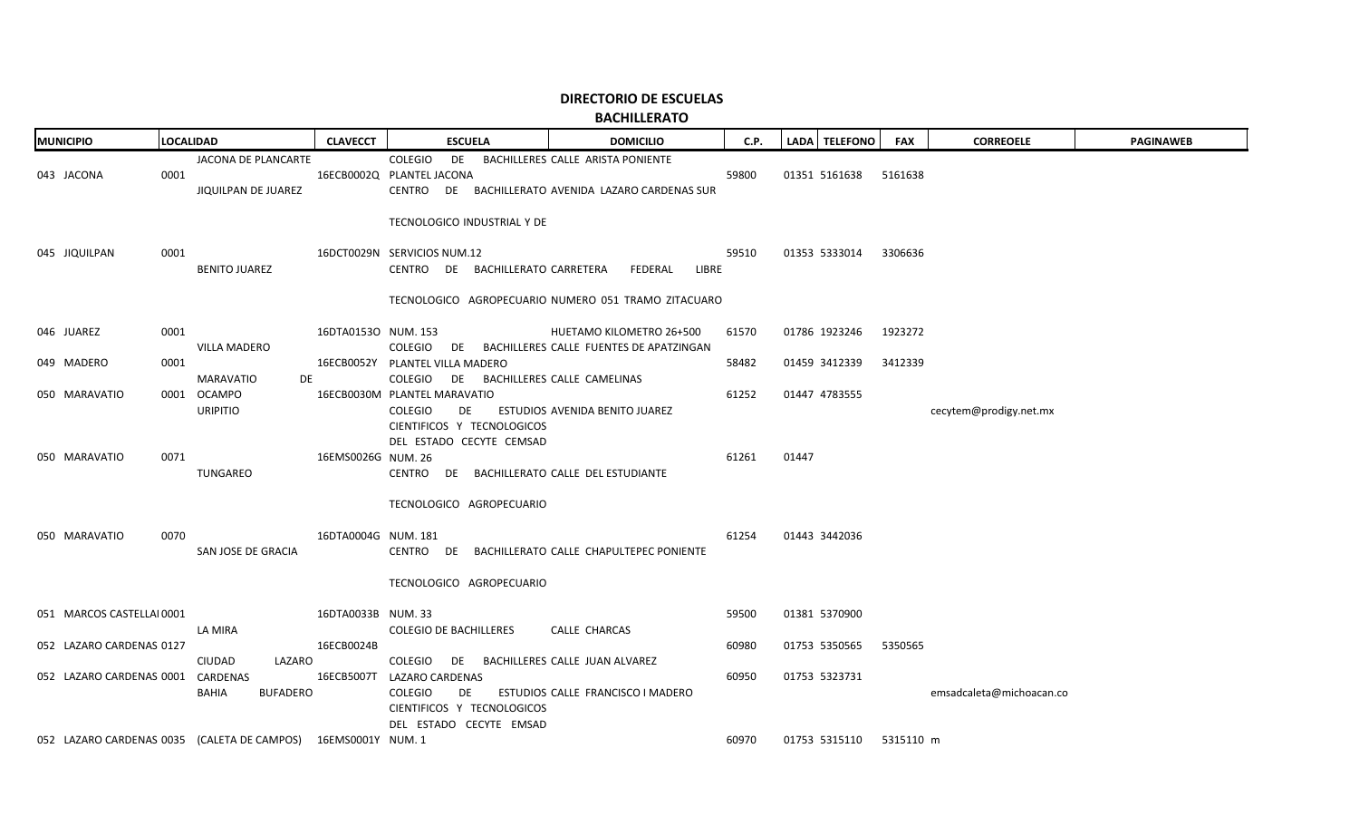| <b>MUNICIPIO</b>                  |      | <b>LOCALIDAD</b>                                              | <b>CLAVECCT</b>     | <b>ESCUELA</b>                                                                                              | <b>DOMICILIO</b>                                                                        | C.P.  |       | LADA TELEFONO           | <b>FAX</b> | <b>CORREOELE</b>         | <b>PAGINAWEB</b> |
|-----------------------------------|------|---------------------------------------------------------------|---------------------|-------------------------------------------------------------------------------------------------------------|-----------------------------------------------------------------------------------------|-------|-------|-------------------------|------------|--------------------------|------------------|
| 043 JACONA                        | 0001 | JACONA DE PLANCARTE<br>JIQUILPAN DE JUAREZ                    |                     | COLEGIO<br>DE<br>16ECB0002Q PLANTEL JACONA                                                                  | BACHILLERES CALLE ARISTA PONIENTE<br>CENTRO DE BACHILLERATO AVENIDA LAZARO CARDENAS SUR | 59800 |       | 01351 5161638           | 5161638    |                          |                  |
| 045 JIQUILPAN                     | 0001 | <b>BENITO JUAREZ</b>                                          |                     | TECNOLOGICO INDUSTRIAL Y DE<br>16DCT0029N SERVICIOS NUM.12<br>CENTRO DE BACHILLERATO CARRETERA              | FEDERAL<br>LIBRE<br>TECNOLOGICO AGROPECUARIO NUMERO 051 TRAMO ZITACUARO                 | 59510 |       | 01353 5333014           | 3306636    |                          |                  |
| 046 JUAREZ                        | 0001 |                                                               | 16DTA0153O NUM. 153 |                                                                                                             |                                                                                         | 61570 |       | 01786 1923246           | 1923272    |                          |                  |
|                                   |      | <b>VILLA MADERO</b>                                           |                     |                                                                                                             | HUETAMO KILOMETRO 26+500<br>COLEGIO DE BACHILLERES CALLE FUENTES DE APATZINGAN          |       |       |                         |            |                          |                  |
| 049 MADERO                        | 0001 | MARAVATIO<br>DE                                               |                     | 16ECB0052Y PLANTEL VILLA MADERO<br>COLEGIO DE BACHILLERES CALLE CAMELINAS                                   |                                                                                         | 58482 |       | 01459 3412339           | 3412339    |                          |                  |
| 050 MARAVATIO                     |      | 0001 OCAMPO<br><b>URIPITIO</b>                                |                     | 16ECB0030M PLANTEL MARAVATIO<br>COLEGIO<br>DE                                                               | ESTUDIOS AVENIDA BENITO JUAREZ                                                          | 61252 |       | 01447 4783555           |            | cecytem@prodigy.net.mx   |                  |
| 050 MARAVATIO                     | 0071 | TUNGAREO                                                      | 16EMS0026G NUM. 26  | CIENTIFICOS Y TECNOLOGICOS<br>DEL ESTADO CECYTE CEMSAD<br>CENTRO DE BACHILLERATO CALLE DEL ESTUDIANTE       |                                                                                         | 61261 | 01447 |                         |            |                          |                  |
| 050 MARAVATIO                     | 0070 | SAN JOSE DE GRACIA                                            | 16DTA0004G NUM. 181 | TECNOLOGICO AGROPECUARIO<br>TECNOLOGICO AGROPECUARIO                                                        | CENTRO DE BACHILLERATO CALLE CHAPULTEPEC PONIENTE                                       | 61254 |       | 01443 3442036           |            |                          |                  |
| 051 MARCOS CASTELLAI 0001         |      |                                                               | 16DTA0033B NUM. 33  |                                                                                                             |                                                                                         | 59500 |       | 01381 5370900           |            |                          |                  |
| 052 LAZARO CARDENAS 0127          |      | LA MIRA<br><b>CIUDAD</b><br>LAZARO                            | 16ECB0024B          | <b>COLEGIO DE BACHILLERES</b><br>COLEGIO DE BACHILLERES CALLE JUAN ALVAREZ                                  | CALLE CHARCAS                                                                           | 60980 |       | 01753 5350565           | 5350565    |                          |                  |
| 052 LAZARO CARDENAS 0001 CARDENAS |      | <b>BUFADERO</b><br>BAHIA                                      |                     | 16ECB5007T LAZARO CARDENAS<br><b>COLEGIO</b><br>DE<br>CIENTIFICOS Y TECNOLOGICOS<br>DEL ESTADO CECYTE EMSAD | ESTUDIOS CALLE FRANCISCO I MADERO                                                       | 60950 |       | 01753 5323731           |            | emsadcaleta@michoacan.co |                  |
|                                   |      | 052 LAZARO CARDENAS 0035 (CALETA DE CAMPOS) 16EMS0001Y NUM. 1 |                     |                                                                                                             |                                                                                         | 60970 |       | 01753 5315110 5315110 m |            |                          |                  |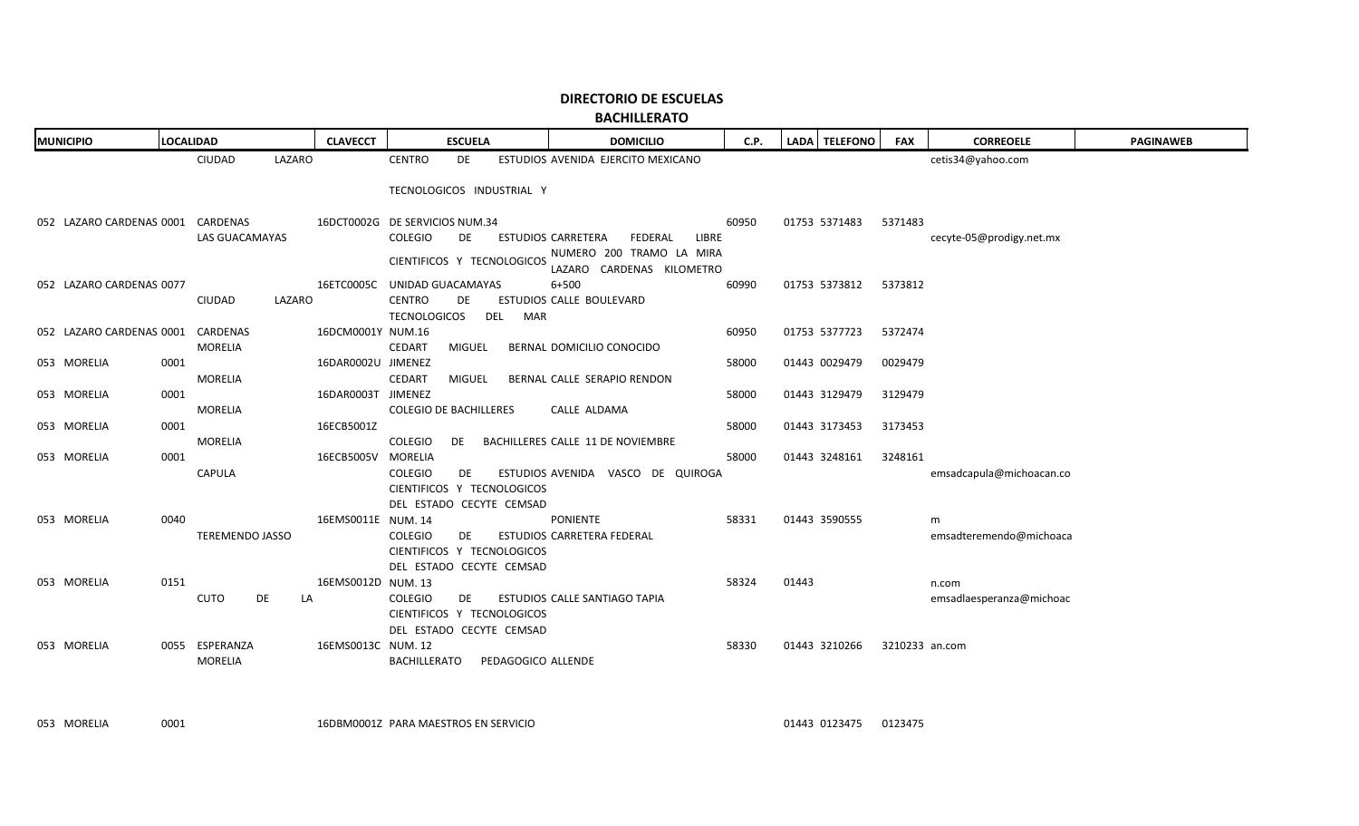| <b>MUNICIPIO</b>                  |      | <b>LOCALIDAD</b>       |        | <b>CLAVECCT</b>                |                               | <b>ESCUELA</b> |                    | <b>DOMICILIO</b>                                      | C.P.  |       | LADA TELEFONO | <b>FAX</b>     | <b>CORREOELE</b>         | <b>PAGINAWEB</b> |
|-----------------------------------|------|------------------------|--------|--------------------------------|-------------------------------|----------------|--------------------|-------------------------------------------------------|-------|-------|---------------|----------------|--------------------------|------------------|
|                                   |      | <b>CIUDAD</b>          | LAZARO |                                | <b>CENTRO</b>                 | <b>DE</b>      |                    | ESTUDIOS AVENIDA EJERCITO MEXICANO                    |       |       |               |                | cetis34@yahoo.com        |                  |
|                                   |      |                        |        |                                | TECNOLOGICOS INDUSTRIAL Y     |                |                    |                                                       |       |       |               |                |                          |                  |
|                                   |      |                        |        |                                |                               |                |                    |                                                       |       |       |               |                |                          |                  |
| 052 LAZARO CARDENAS 0001 CARDENAS |      |                        |        | 16DCT0002G DE SERVICIOS NUM.34 |                               |                |                    |                                                       | 60950 |       | 01753 5371483 | 5371483        |                          |                  |
|                                   |      | LAS GUACAMAYAS         |        |                                | COLEGIO                       | DE             |                    | ESTUDIOS CARRETERA<br>FEDERAL<br>LIBRE                |       |       |               |                | cecyte-05@prodigy.net.mx |                  |
|                                   |      |                        |        |                                | CIENTIFICOS Y TECNOLOGICOS    |                |                    | NUMERO 200 TRAMO LA MIRA<br>LAZARO CARDENAS KILOMETRO |       |       |               |                |                          |                  |
| 052 LAZARO CARDENAS 0077          |      |                        |        | 16ETC0005C UNIDAD GUACAMAYAS   |                               |                |                    | $6 + 500$                                             | 60990 |       | 01753 5373812 | 5373812        |                          |                  |
|                                   |      | CIUDAD                 | LAZARO |                                | <b>CENTRO</b>                 | DE.            |                    | ESTUDIOS CALLE BOULEVARD                              |       |       |               |                |                          |                  |
|                                   |      |                        |        |                                | <b>TECNOLOGICOS</b>           |                | DEL<br>MAR         |                                                       |       |       |               |                |                          |                  |
| 052 LAZARO CARDENAS 0001          |      | CARDENAS               |        | 16DCM0001Y NUM.16              |                               |                |                    |                                                       | 60950 |       | 01753 5377723 | 5372474        |                          |                  |
|                                   |      | MORELIA                |        |                                | CEDART                        | <b>MIGUEL</b>  |                    | BERNAL DOMICILIO CONOCIDO                             |       |       |               |                |                          |                  |
| 053 MORELIA                       | 0001 |                        |        | 16DAR0002U JIMENEZ             |                               |                |                    |                                                       | 58000 |       | 01443 0029479 | 0029479        |                          |                  |
|                                   |      | <b>MORELIA</b>         |        |                                | <b>CEDART</b>                 | MIGUEL         |                    | BERNAL CALLE SERAPIO RENDON                           |       |       |               |                |                          |                  |
| 053 MORELIA                       | 0001 |                        |        | 16DAR0003T JIMENEZ             |                               |                |                    |                                                       | 58000 |       | 01443 3129479 | 3129479        |                          |                  |
| 053 MORELIA                       | 0001 | <b>MORELIA</b>         |        | 16ECB5001Z                     | <b>COLEGIO DE BACHILLERES</b> |                |                    | CALLE ALDAMA                                          | 58000 |       | 01443 3173453 | 3173453        |                          |                  |
|                                   |      | <b>MORELIA</b>         |        |                                | COLEGIO                       | DE             |                    | BACHILLERES CALLE 11 DE NOVIEMBRE                     |       |       |               |                |                          |                  |
| 053 MORELIA                       | 0001 |                        |        | 16ECB5005V                     | MORELIA                       |                |                    |                                                       | 58000 |       | 01443 3248161 | 3248161        |                          |                  |
|                                   |      | CAPULA                 |        |                                | <b>COLEGIO</b>                | DE             |                    | ESTUDIOS AVENIDA VASCO DE QUIROGA                     |       |       |               |                | emsadcapula@michoacan.co |                  |
|                                   |      |                        |        |                                | CIENTIFICOS Y TECNOLOGICOS    |                |                    |                                                       |       |       |               |                |                          |                  |
|                                   |      |                        |        |                                | DEL ESTADO CECYTE CEMSAD      |                |                    |                                                       |       |       |               |                |                          |                  |
| 053 MORELIA                       | 0040 |                        |        | 16EMS0011E NUM. 14             |                               |                |                    | PONIENTE                                              | 58331 |       | 01443 3590555 |                | m                        |                  |
|                                   |      | <b>TEREMENDO JASSO</b> |        |                                | <b>COLEGIO</b>                | DE             |                    | ESTUDIOS CARRETERA FEDERAL                            |       |       |               |                | emsadteremendo@michoaca  |                  |
|                                   |      |                        |        |                                | CIENTIFICOS Y TECNOLOGICOS    |                |                    |                                                       |       |       |               |                |                          |                  |
|                                   |      |                        |        |                                | DEL ESTADO CECYTE CEMSAD      |                |                    |                                                       |       |       |               |                |                          |                  |
| 053 MORELIA                       | 0151 |                        |        | 16EMS0012D NUM. 13             |                               |                |                    |                                                       | 58324 | 01443 |               |                | n.com                    |                  |
|                                   |      | <b>CUTO</b><br>DE      | LA     |                                | COLEGIO                       | DE             |                    | ESTUDIOS CALLE SANTIAGO TAPIA                         |       |       |               |                | emsadlaesperanza@michoac |                  |
|                                   |      |                        |        |                                | CIENTIFICOS Y TECNOLOGICOS    |                |                    |                                                       |       |       |               |                |                          |                  |
|                                   |      |                        |        |                                | DEL ESTADO CECYTE CEMSAD      |                |                    |                                                       |       |       |               |                |                          |                  |
| 053 MORELIA                       | 0055 | ESPERANZA              |        | 16EMS0013C NUM. 12             |                               |                |                    |                                                       | 58330 |       | 01443 3210266 | 3210233 an.com |                          |                  |
|                                   |      | <b>MORELIA</b>         |        |                                | BACHILLERATO                  |                | PEDAGOGICO ALLENDE |                                                       |       |       |               |                |                          |                  |

**BACHILLERATO**

053 MORELIA 0001

16DBM0001Z PARA MAESTROS EN SERVICIO

01443 0123475 0123475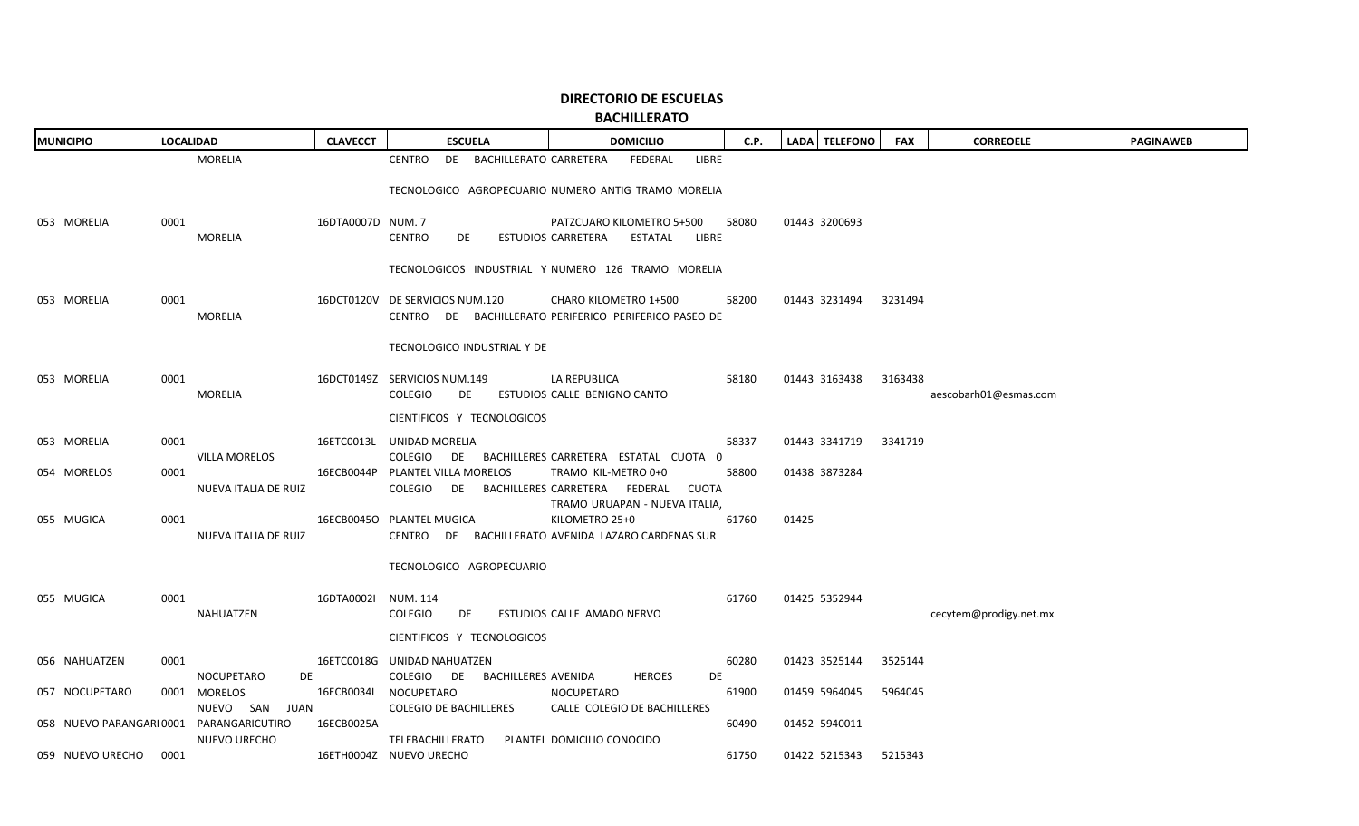**BACHILLERATO**

| <b>MUNICIPIO</b>         | <b>LOCALIDAD</b>                | <b>CLAVECCT</b>   | <b>ESCUELA</b>                                                | <b>DOMICILIO</b>                                                                                      | C.P.  | LADA   TELEFONO | <b>FAX</b> | <b>CORREOELE</b>       | <b>PAGINAWEB</b> |
|--------------------------|---------------------------------|-------------------|---------------------------------------------------------------|-------------------------------------------------------------------------------------------------------|-------|-----------------|------------|------------------------|------------------|
|                          | <b>MORELIA</b>                  |                   | <b>CENTRO</b><br>DE BACHILLERATO CARRETERA                    | FEDERAL<br>LIBRE                                                                                      |       |                 |            |                        |                  |
|                          |                                 |                   |                                                               | TECNOLOGICO AGROPECUARIO NUMERO ANTIG TRAMO MORELIA                                                   |       |                 |            |                        |                  |
| 053 MORELIA              | 0001<br>MORELIA                 | 16DTA0007D NUM. 7 | <b>CENTRO</b><br>DE                                           | PATZCUARO KILOMETRO 5+500<br>ESTUDIOS CARRETERA ESTATAL LIBRE                                         | 58080 | 01443 3200693   |            |                        |                  |
|                          |                                 |                   |                                                               | TECNOLOGICOS INDUSTRIAL Y NUMERO 126 TRAMO MORELIA                                                    |       |                 |            |                        |                  |
| 053 MORELIA              | 0001<br>MORELIA                 |                   | 16DCT0120V DE SERVICIOS NUM.120                               | CHARO KILOMETRO 1+500<br>CENTRO DE BACHILLERATO PERIFERICO PERIFERICO PASEO DE                        | 58200 | 01443 3231494   | 3231494    |                        |                  |
|                          |                                 |                   | TECNOLOGICO INDUSTRIAL Y DE                                   |                                                                                                       |       |                 |            |                        |                  |
| 053 MORELIA              | 0001<br>MORELIA                 |                   | 16DCT0149Z SERVICIOS NUM.149<br>COLEGIO<br>DE                 | LA REPUBLICA<br>ESTUDIOS CALLE BENIGNO CANTO                                                          | 58180 | 01443 3163438   | 3163438    | aescobarh01@esmas.com  |                  |
|                          |                                 |                   | CIENTIFICOS Y TECNOLOGICOS                                    |                                                                                                       |       |                 |            |                        |                  |
| 053 MORELIA              | 0001<br>VILLA MORELOS           |                   | 16ETC0013L UNIDAD MORELIA                                     | COLEGIO DE BACHILLERES CARRETERA ESTATAL CUOTA 0                                                      | 58337 | 01443 3341719   | 3341719    |                        |                  |
| 054 MORELOS              | 0001<br>NUEVA ITALIA DE RUIZ    |                   | 16ECB0044P PLANTEL VILLA MORELOS                              | TRAMO KIL-METRO 0+0<br>COLEGIO DE BACHILLERES CARRETERA FEDERAL CUOTA                                 | 58800 | 01438 3873284   |            |                        |                  |
| 055 MUGICA               | 0001<br>NUEVA ITALIA DE RUIZ    |                   | 16ECB0045O PLANTEL MUGICA                                     | TRAMO URUAPAN - NUEVA ITALIA,<br>KILOMETRO 25+0<br>CENTRO DE BACHILLERATO AVENIDA LAZARO CARDENAS SUR | 61760 | 01425           |            |                        |                  |
|                          |                                 |                   | TECNOLOGICO AGROPECUARIO                                      |                                                                                                       |       |                 |            |                        |                  |
| 055 MUGICA               | 0001<br>NAHUATZEN               | 16DTA0002I        | NUM. 114<br><b>COLEGIO</b><br>DE                              | ESTUDIOS CALLE AMADO NERVO                                                                            | 61760 | 01425 5352944   |            | cecytem@prodigy.net.mx |                  |
|                          |                                 |                   | CIENTIFICOS Y TECNOLOGICOS                                    |                                                                                                       |       |                 |            |                        |                  |
| 056 NAHUATZEN            | 0001<br><b>NOCUPETARO</b><br>DE |                   | 16ETC0018G UNIDAD NAHUATZEN<br>COLEGIO DE BACHILLERES AVENIDA | <b>HEROES</b><br>DE                                                                                   | 60280 | 01423 3525144   | 3525144    |                        |                  |
| 057 NOCUPETARO           | 0001 MORELOS<br>NUEVO SAN JUAN  | 16ECB0034I        | NOCUPETARO<br><b>COLEGIO DE BACHILLERES</b>                   | NOCUPETARO<br>CALLE COLEGIO DE BACHILLERES                                                            | 61900 | 01459 5964045   | 5964045    |                        |                  |
| 058 NUEVO PARANGARI 0001 | PARANGARICUTIRO                 | 16ECB0025A        |                                                               | PLANTEL DOMICILIO CONOCIDO                                                                            | 60490 | 01452 5940011   |            |                        |                  |
| 059 NUEVO URECHO         | <b>NUEVO URECHO</b><br>0001     |                   | TELEBACHILLERATO<br>16ETH0004Z NUEVO URECHO                   |                                                                                                       | 61750 | 01422 5215343   | 5215343    |                        |                  |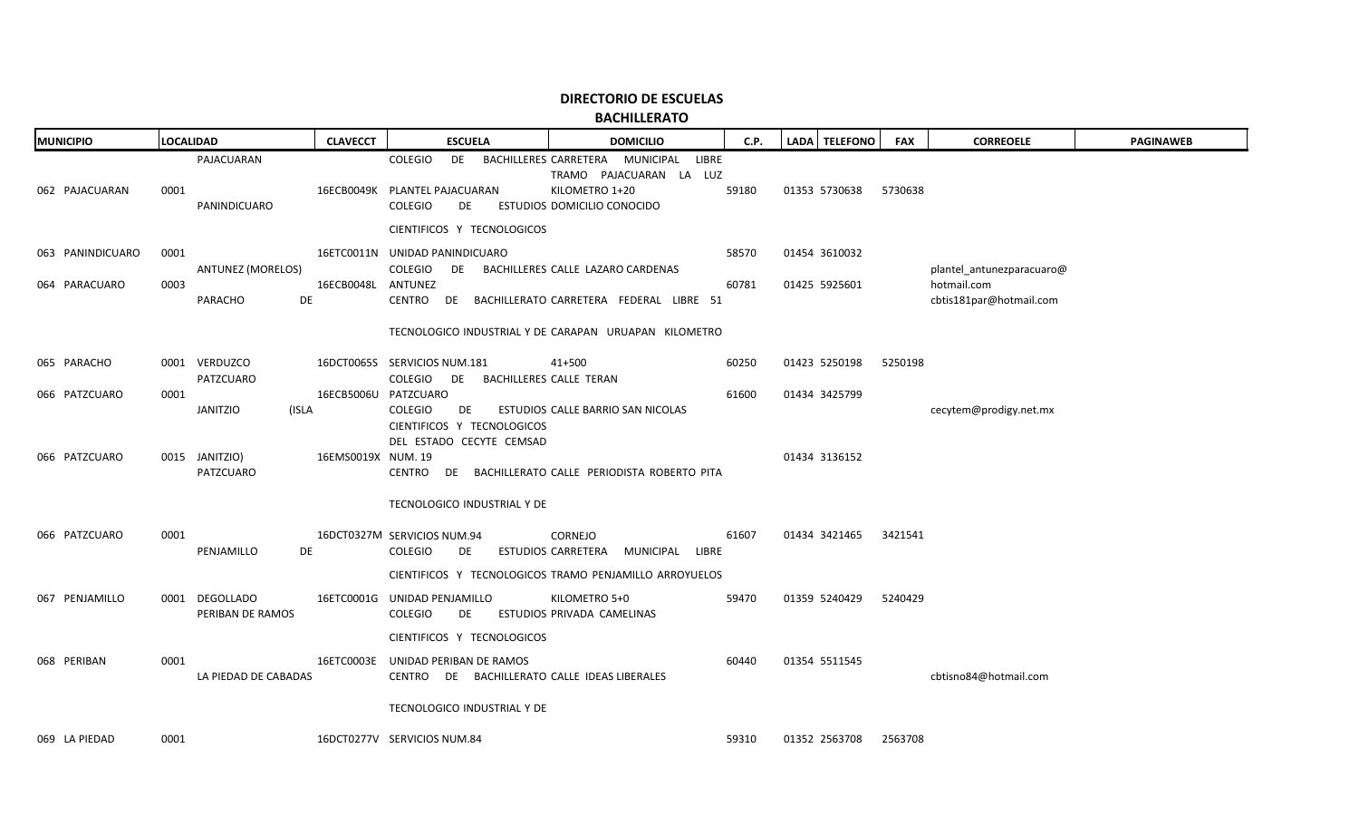| <b>MUNICIPIO</b>                  | <b>LOCALIDAD</b>                             | <b>CLAVECCT</b>          | <b>ESCUELA</b>                                                                                                   | <b>DOMICILIO</b>                                                                                                        | C.P.           | LADA TELEFONO                  | <b>FAX</b> | <b>CORREOELE</b>                                                    | <b>PAGINAWEB</b> |
|-----------------------------------|----------------------------------------------|--------------------------|------------------------------------------------------------------------------------------------------------------|-------------------------------------------------------------------------------------------------------------------------|----------------|--------------------------------|------------|---------------------------------------------------------------------|------------------|
| 062 PAJACUARAN                    | PAJACUARAN<br>0001<br>PANINDICUARO           |                          | COLEGIO<br>16ECB0049K PLANTEL PAJACUARAN<br><b>COLEGIO</b><br>DE                                                 | DE BACHILLERES CARRETERA MUNICIPAL<br>LIBRE<br>TRAMO PAJACUARAN LA LUZ<br>KILOMETRO 1+20<br>ESTUDIOS DOMICILIO CONOCIDO | 59180          | 01353 5730638                  | 5730638    |                                                                     |                  |
| 063 PANINDICUARO<br>064 PARACUARO | 0001<br>ANTUNEZ (MORELOS)<br>0003<br>PARACHO | 16ECB0048L ANTUNEZ<br>DE | CIENTIFICOS Y TECNOLOGICOS<br>16ETC0011N UNIDAD PANINDICUARO<br>COLEGIO                                          | DE BACHILLERES CALLE LAZARO CARDENAS<br>CENTRO DE BACHILLERATO CARRETERA FEDERAL LIBRE 51                               | 58570<br>60781 | 01454 3610032<br>01425 5925601 |            | plantel_antunezparacuaro@<br>hotmail.com<br>cbtis181par@hotmail.com |                  |
| 065 PARACHO                       | 0001 VERDUZCO                                |                          | 16DCT0065S SERVICIOS NUM.181                                                                                     | TECNOLOGICO INDUSTRIAL Y DE CARAPAN URUAPAN KILOMETRO<br>41+500                                                         | 60250          | 01423 5250198                  | 5250198    |                                                                     |                  |
| 066 PATZCUARO                     | PATZCUARO<br>0001<br>JANITZIO                | (ISLA                    | COLEGIO DE BACHILLERES CALLE TERAN<br>16ECB5006U PATZCUARO<br><b>COLEGIO</b><br>DE                               | ESTUDIOS CALLE BARRIO SAN NICOLAS                                                                                       | 61600          | 01434 3425799                  |            | cecytem@prodigy.net.mx                                              |                  |
| 066 PATZCUARO                     | 0015 JANITZIO)<br>PATZCUARO                  | 16EMS0019X NUM. 19       | CIENTIFICOS Y TECNOLOGICOS<br>DEL ESTADO CECYTE CEMSAD                                                           | CENTRO DE BACHILLERATO CALLE PERIODISTA ROBERTO PITA                                                                    |                | 01434 3136152                  |            |                                                                     |                  |
| 066 PATZCUARO                     | 0001<br>PENJAMILLO                           | DE                       | TECNOLOGICO INDUSTRIAL Y DE<br>16DCT0327M SERVICIOS NUM.94<br>COLEGIO<br>DE                                      | <b>CORNEJO</b><br>ESTUDIOS CARRETERA MUNICIPAL LIBRE                                                                    | 61607          | 01434 3421465                  | 3421541    |                                                                     |                  |
| 067 PENJAMILLO                    | 0001 DEGOLLADO<br>PERIBAN DE RAMOS           |                          | 16ETC0001G UNIDAD PENJAMILLO<br><b>COLEGIO</b><br>DE                                                             | CIENTIFICOS Y TECNOLOGICOS TRAMO PENJAMILLO ARROYUELOS<br>KILOMETRO 5+0<br>ESTUDIOS PRIVADA CAMELINAS                   | 59470          | 01359 5240429                  | 5240429    |                                                                     |                  |
| 068 PERIBAN                       | 0001<br>LA PIEDAD DE CABADAS                 |                          | CIENTIFICOS Y TECNOLOGICOS<br>16ETC0003E UNIDAD PERIBAN DE RAMOS<br>CENTRO DE BACHILLERATO CALLE IDEAS LIBERALES |                                                                                                                         | 60440          | 01354 5511545                  |            | cbtisno84@hotmail.com                                               |                  |
| 069 LA PIEDAD                     | 0001                                         |                          | TECNOLOGICO INDUSTRIAL Y DE<br>16DCT0277V SERVICIOS NUM.84                                                       |                                                                                                                         | 59310          | 01352 2563708                  | 2563708    |                                                                     |                  |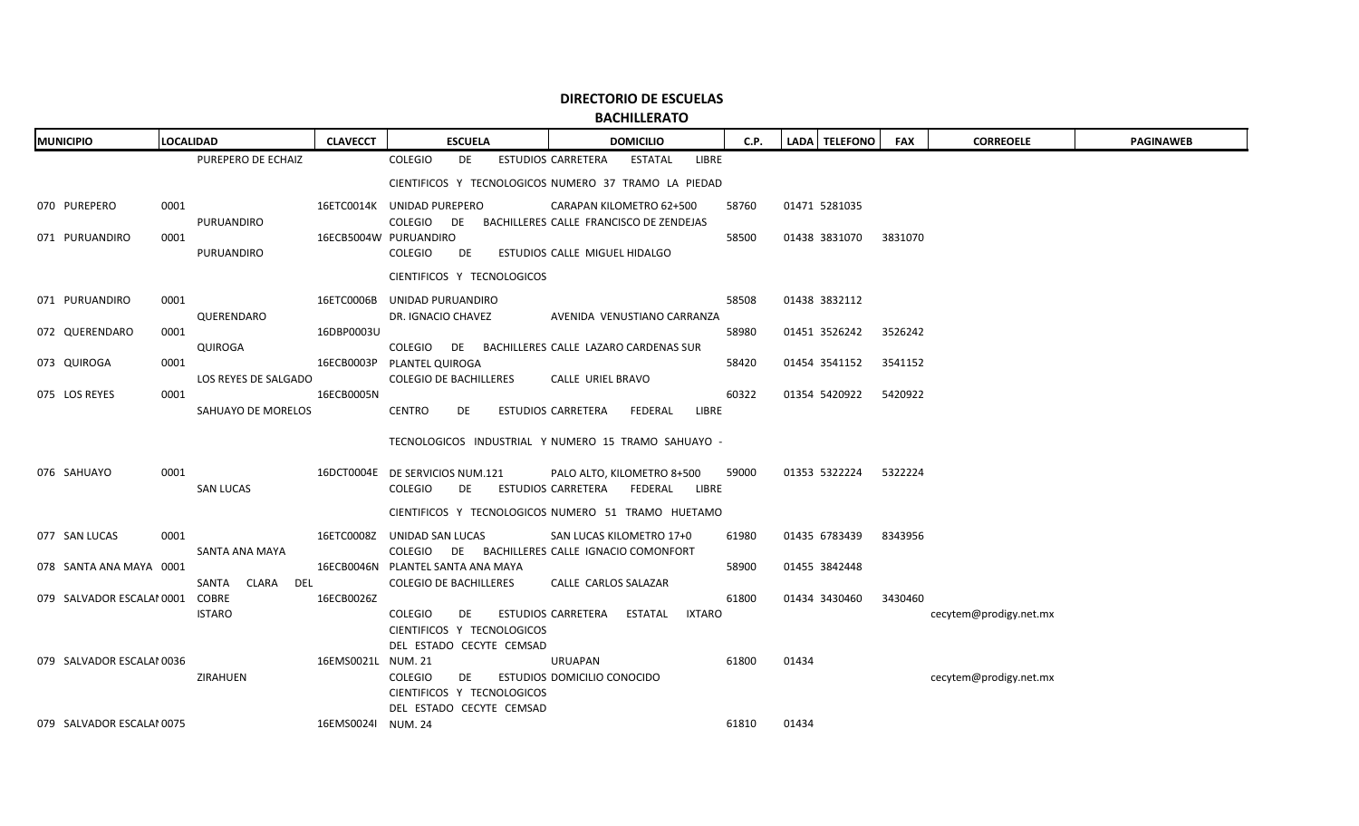| <b>MUNICIPIO</b>          | <b>LOCALIDAD</b>             | <b>CLAVECCT</b>    | <b>ESCUELA</b><br><b>DOMICILIO</b>                                                                        | C.P.  | LADA TELEFONO | <b>FAX</b> | <b>CORREOELE</b>       | <b>PAGINAWEB</b> |
|---------------------------|------------------------------|--------------------|-----------------------------------------------------------------------------------------------------------|-------|---------------|------------|------------------------|------------------|
|                           | PUREPERO DE ECHAIZ           |                    | COLEGIO<br>DE<br><b>ESTUDIOS CARRETERA</b><br>ESTATAL<br>LIBRE                                            |       |               |            |                        |                  |
|                           |                              |                    | CIENTIFICOS Y TECNOLOGICOS NUMERO 37 TRAMO LA PIEDAD                                                      |       |               |            |                        |                  |
| 070 PUREPERO              | 0001                         |                    | 16ETC0014K UNIDAD PUREPERO<br>CARAPAN KILOMETRO 62+500                                                    | 58760 | 01471 5281035 |            |                        |                  |
|                           | PURUANDIRO                   |                    | COLEGIO DE<br>BACHILLERES CALLE FRANCISCO DE ZENDEJAS                                                     |       |               |            |                        |                  |
| 071 PURUANDIRO            | 0001                         |                    | 16ECB5004W PURUANDIRO                                                                                     | 58500 | 01438 3831070 | 3831070    |                        |                  |
|                           | PURUANDIRO                   |                    | COLEGIO<br>DE<br>ESTUDIOS CALLE MIGUEL HIDALGO                                                            |       |               |            |                        |                  |
|                           |                              |                    | CIENTIFICOS Y TECNOLOGICOS                                                                                |       |               |            |                        |                  |
| 071 PURUANDIRO            | 0001                         |                    | 16ETC0006B UNIDAD PURUANDIRO                                                                              | 58508 | 01438 3832112 |            |                        |                  |
|                           | QUERENDARO                   |                    | DR. IGNACIO CHAVEZ<br>AVENIDA VENUSTIANO CARRANZA                                                         |       |               |            |                        |                  |
| 072 QUERENDARO            | 0001                         | 16DBP0003U         |                                                                                                           | 58980 | 01451 3526242 | 3526242    |                        |                  |
|                           | QUIROGA                      |                    | COLEGIO DE BACHILLERES CALLE LAZARO CARDENAS SUR                                                          |       |               |            |                        |                  |
| 073 QUIROGA               | 0001                         |                    | 16ECB0003P PLANTEL QUIROGA                                                                                | 58420 | 01454 3541152 | 3541152    |                        |                  |
| 075 LOS REYES             | LOS REYES DE SALGADO<br>0001 | 16ECB0005N         | <b>COLEGIO DE BACHILLERES</b><br>CALLE URIEL BRAVO                                                        | 60322 | 01354 5420922 | 5420922    |                        |                  |
|                           | SAHUAYO DE MORELOS           |                    | <b>CENTRO</b><br>LIBRE<br>DE<br><b>ESTUDIOS CARRETERA</b><br>FEDERAL                                      |       |               |            |                        |                  |
|                           |                              |                    |                                                                                                           |       |               |            |                        |                  |
|                           |                              |                    | TECNOLOGICOS INDUSTRIAL Y NUMERO 15 TRAMO SAHUAYO -                                                       |       |               |            |                        |                  |
| 076 SAHUAYO               | 0001                         |                    | 16DCT0004E DE SERVICIOS NUM.121<br>PALO ALTO, KILOMETRO 8+500                                             | 59000 | 01353 5322224 | 5322224    |                        |                  |
|                           | <b>SAN LUCAS</b>             |                    | COLEGIO<br>ESTUDIOS CARRETERA FEDERAL<br>LIBRE<br>DE                                                      |       |               |            |                        |                  |
|                           |                              |                    | CIENTIFICOS Y TECNOLOGICOS NUMERO 51 TRAMO HUETAMO                                                        |       |               |            |                        |                  |
|                           |                              |                    |                                                                                                           |       |               |            |                        |                  |
| 077 SAN LUCAS             | 0001                         |                    | 16ETC0008Z UNIDAD SAN LUCAS<br>SAN LUCAS KILOMETRO 17+0<br>COLEGIO DE BACHILLERES CALLE IGNACIO COMONFORT | 61980 | 01435 6783439 | 8343956    |                        |                  |
| 078 SANTA ANA MAYA 0001   | SANTA ANA MAYA               |                    | 16ECB0046N PLANTEL SANTA ANA MAYA                                                                         | 58900 | 01455 3842448 |            |                        |                  |
|                           | SANTA<br>CLARA DEL           |                    | <b>COLEGIO DE BACHILLERES</b><br>CALLE CARLOS SALAZAR                                                     |       |               |            |                        |                  |
| 079 SALVADOR ESCALAI 0001 | COBRE                        | 16ECB0026Z         |                                                                                                           | 61800 | 01434 3430460 | 3430460    |                        |                  |
|                           | <b>ISTARO</b>                |                    | <b>COLEGIO</b><br>DE<br>ESTUDIOS CARRETERA<br>ESTATAL<br>IXTARO                                           |       |               |            | cecytem@prodigy.net.mx |                  |
|                           |                              |                    | CIENTIFICOS Y TECNOLOGICOS                                                                                |       |               |            |                        |                  |
|                           |                              |                    | DEL ESTADO CECYTE CEMSAD                                                                                  |       |               |            |                        |                  |
| 079 SALVADOR ESCALAI 0036 | ZIRAHUEN                     | 16EMS0021L NUM. 21 | URUAPAN<br><b>COLEGIO</b><br>DE<br>ESTUDIOS DOMICILIO CONOCIDO                                            | 61800 | 01434         |            | cecytem@prodigy.net.mx |                  |
|                           |                              |                    | CIENTIFICOS Y TECNOLOGICOS                                                                                |       |               |            |                        |                  |
|                           |                              |                    | DEL ESTADO CECYTE CEMSAD                                                                                  |       |               |            |                        |                  |
| 079 SALVADOR ESCALAI 0075 |                              | 16EMS0024I NUM. 24 |                                                                                                           | 61810 | 01434         |            |                        |                  |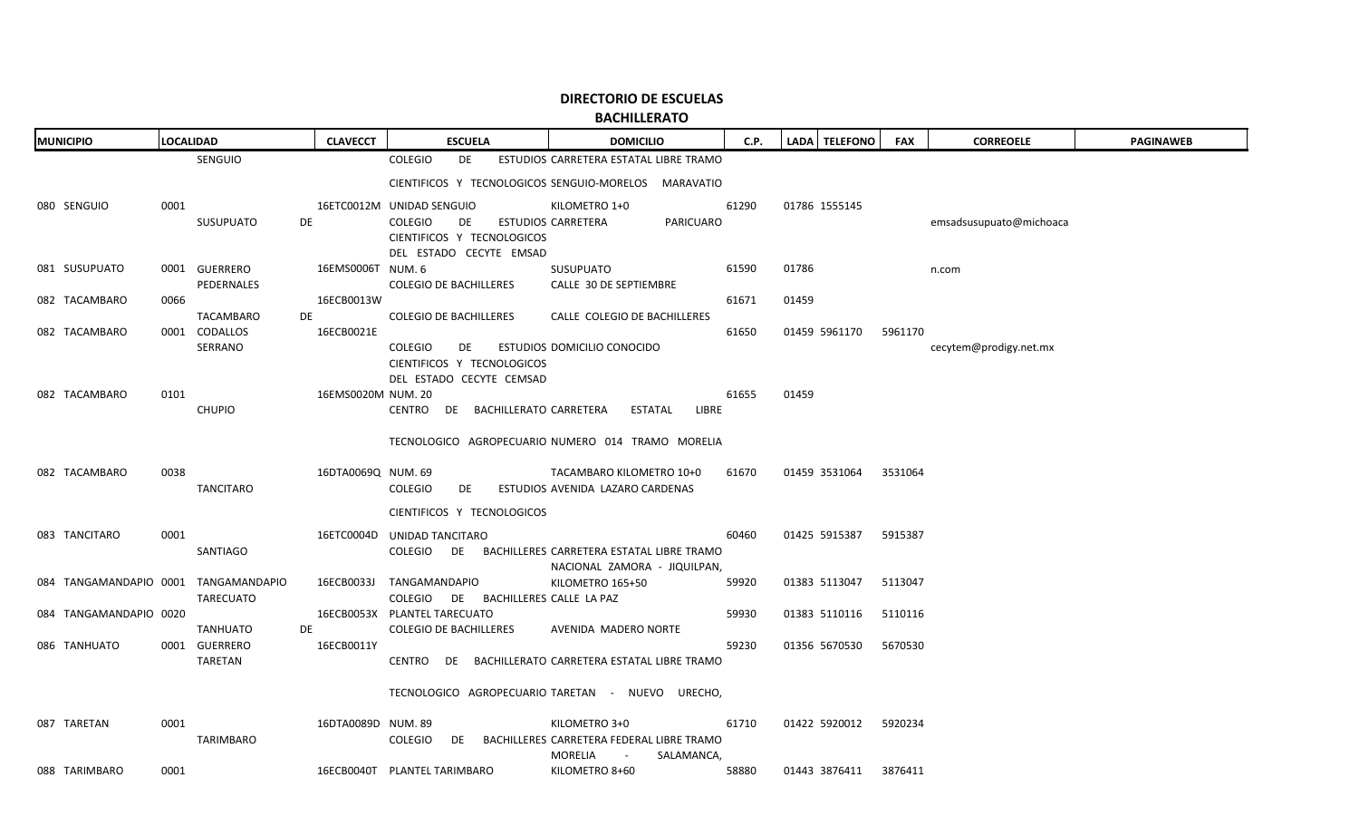| <b>MUNICIPIO</b>       | <b>LOCALIDAD</b>                     | <b>CLAVECCT</b>    | <b>ESCUELA</b>                                                      | <b>DOMICILIO</b>                                                      | C.P.  | LADA   TELEFONO | <b>FAX</b> | <b>CORREOELE</b>        | <b>PAGINAWEB</b> |
|------------------------|--------------------------------------|--------------------|---------------------------------------------------------------------|-----------------------------------------------------------------------|-------|-----------------|------------|-------------------------|------------------|
|                        | <b>SENGUIO</b>                       |                    | <b>COLEGIO</b><br><b>DE</b>                                         | ESTUDIOS CARRETERA ESTATAL LIBRE TRAMO                                |       |                 |            |                         |                  |
|                        |                                      |                    |                                                                     | CIENTIFICOS Y TECNOLOGICOS SENGUIO-MORELOS MARAVATIO                  |       |                 |            |                         |                  |
| 080 SENGUIO            | 0001                                 |                    | 16ETC0012M UNIDAD SENGUIO                                           | KILOMETRO 1+0                                                         | 61290 | 01786 1555145   |            |                         |                  |
|                        | SUSUPUATO<br>DE                      |                    | <b>COLEGIO</b><br>DE                                                | ESTUDIOS CARRETERA<br><b>PARICUARO</b>                                |       |                 |            | emsadsusupuato@michoaca |                  |
|                        |                                      |                    | CIENTIFICOS Y TECNOLOGICOS<br>DEL ESTADO CECYTE EMSAD               |                                                                       |       |                 |            |                         |                  |
| 081 SUSUPUATO          | 0001 GUERRERO                        | 16EMS0006T NUM. 6  |                                                                     | <b>SUSUPUATO</b>                                                      | 61590 | 01786           |            | n.com                   |                  |
|                        | PEDERNALES                           |                    | <b>COLEGIO DE BACHILLERES</b>                                       | CALLE 30 DE SEPTIEMBRE                                                |       |                 |            |                         |                  |
| 082 TACAMBARO          | 0066                                 | 16ECB0013W         |                                                                     |                                                                       | 61671 | 01459           |            |                         |                  |
| 082 TACAMBARO          | TACAMBARO<br>DE<br>0001 CODALLOS     | 16ECB0021E         | <b>COLEGIO DE BACHILLERES</b>                                       | CALLE COLEGIO DE BACHILLERES                                          | 61650 | 01459 5961170   | 5961170    |                         |                  |
|                        | SERRANO                              |                    | <b>COLEGIO</b><br>DE                                                | ESTUDIOS DOMICILIO CONOCIDO                                           |       |                 |            | cecytem@prodigy.net.mx  |                  |
|                        |                                      |                    | CIENTIFICOS Y TECNOLOGICOS                                          |                                                                       |       |                 |            |                         |                  |
|                        |                                      |                    | DEL ESTADO CECYTE CEMSAD                                            |                                                                       |       |                 |            |                         |                  |
| 082 TACAMBARO          | 0101<br><b>CHUPIO</b>                | 16EMS0020M NUM. 20 | CENTRO DE BACHILLERATO CARRETERA                                    | <b>ESTATAL</b><br>LIBRE                                               | 61655 | 01459           |            |                         |                  |
|                        |                                      |                    |                                                                     |                                                                       |       |                 |            |                         |                  |
|                        |                                      |                    |                                                                     | TECNOLOGICO AGROPECUARIO NUMERO 014 TRAMO MORELIA                     |       |                 |            |                         |                  |
| 082 TACAMBARO          | 0038                                 | 16DTA0069Q NUM. 69 |                                                                     | TACAMBARO KILOMETRO 10+0                                              | 61670 | 01459 3531064   | 3531064    |                         |                  |
|                        | TANCITARO                            |                    | <b>COLEGIO</b><br>DE                                                | ESTUDIOS AVENIDA LAZARO CARDENAS                                      |       |                 |            |                         |                  |
|                        |                                      |                    | CIENTIFICOS Y TECNOLOGICOS                                          |                                                                       |       |                 |            |                         |                  |
|                        |                                      |                    |                                                                     |                                                                       |       |                 |            |                         |                  |
| 083 TANCITARO          | 0001<br>SANTIAGO                     |                    | 16ETC0004D UNIDAD TANCITARO<br>COLEGIO                              | DE BACHILLERES CARRETERA ESTATAL LIBRE TRAMO                          | 60460 | 01425 5915387   | 5915387    |                         |                  |
|                        |                                      |                    |                                                                     | NACIONAL ZAMORA - JIQUILPAN,                                          |       |                 |            |                         |                  |
|                        | 084 TANGAMANDAPIO 0001 TANGAMANDAPIO | 16ECB0033J         | TANGAMANDAPIO                                                       | KILOMETRO 165+50                                                      | 59920 | 01383 5113047   | 5113047    |                         |                  |
| 084 TANGAMANDAPIO 0020 | <b>TARECUATO</b>                     |                    | COLEGIO DE BACHILLERES CALLE LA PAZ<br>16ECB0053X PLANTEL TARECUATO |                                                                       | 59930 | 01383 5110116   | 5110116    |                         |                  |
|                        | <b>TANHUATO</b><br>DE                |                    | <b>COLEGIO DE BACHILLERES</b>                                       | AVENIDA MADERO NORTE                                                  |       |                 |            |                         |                  |
| 086 TANHUATO           | 0001 GUERRERO                        | 16ECB0011Y         |                                                                     |                                                                       | 59230 | 01356 5670530   | 5670530    |                         |                  |
|                        | TARETAN                              |                    |                                                                     | CENTRO DE BACHILLERATO CARRETERA ESTATAL LIBRE TRAMO                  |       |                 |            |                         |                  |
|                        |                                      |                    |                                                                     | TECNOLOGICO AGROPECUARIO TARETAN - NUEVO URECHO,                      |       |                 |            |                         |                  |
|                        |                                      |                    |                                                                     |                                                                       |       |                 |            |                         |                  |
| 087 TARETAN            | 0001                                 | 16DTA0089D NUM. 89 |                                                                     | KILOMETRO 3+0                                                         | 61710 | 01422 5920012   | 5920234    |                         |                  |
|                        | TARIMBARO                            |                    | COLEGIO                                                             | DE BACHILLERES CARRETERA FEDERAL LIBRE TRAMO<br>MORELIA<br>SALAMANCA, |       |                 |            |                         |                  |
| 088 TARIMBARO          | 0001                                 |                    | 16ECB0040T PLANTEL TARIMBARO                                        | KILOMETRO 8+60                                                        | 58880 | 01443 3876411   | 3876411    |                         |                  |
|                        |                                      |                    |                                                                     |                                                                       |       |                 |            |                         |                  |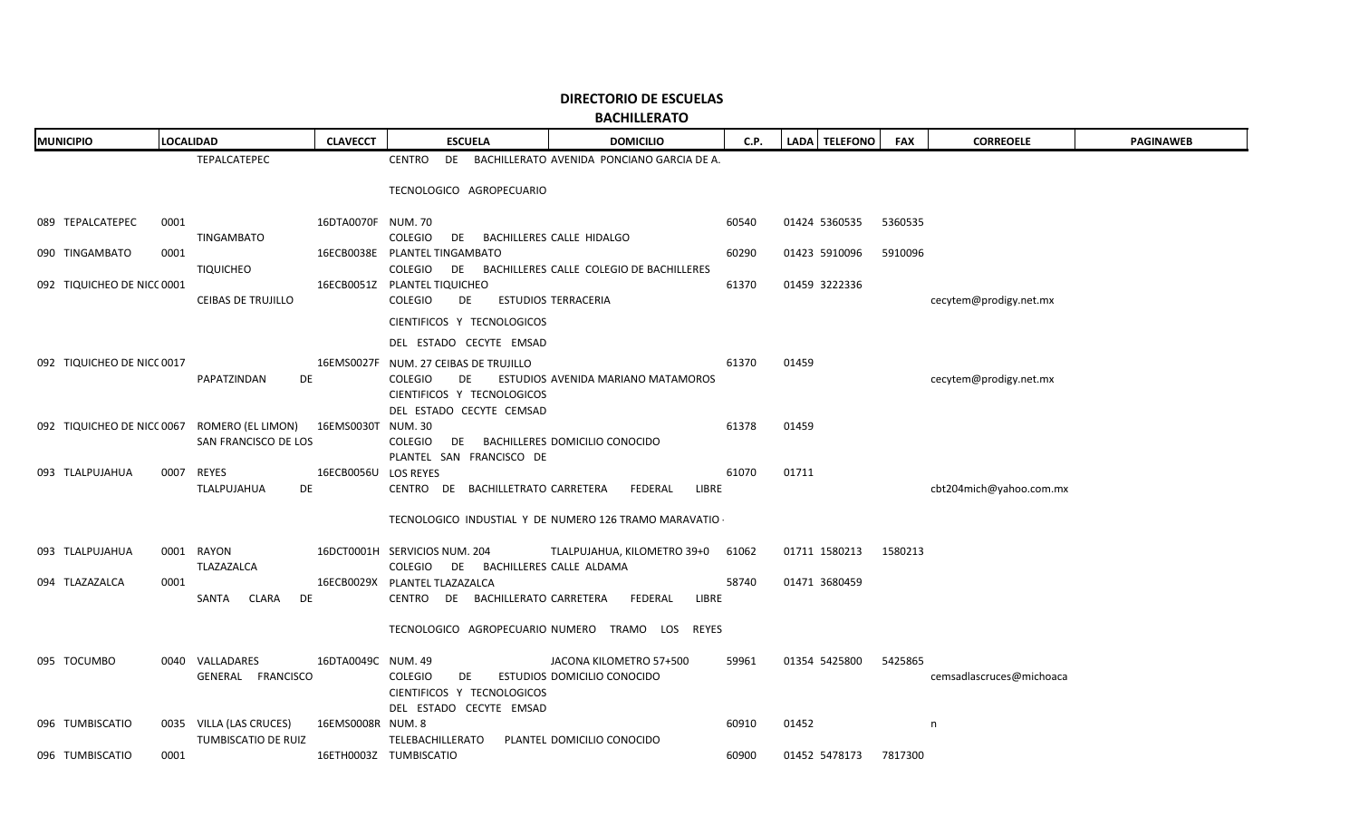| <b>MUNICIPIO</b>           | LOCALIDAD                                                       | <b>CLAVECCT</b>      | <b>ESCUELA</b>                                                                   | <b>DOMICILIO</b>                                      | C.P.  | LADA   TELEFONO       | <b>FAX</b> | <b>CORREOELE</b>         | <b>PAGINAWEB</b> |
|----------------------------|-----------------------------------------------------------------|----------------------|----------------------------------------------------------------------------------|-------------------------------------------------------|-------|-----------------------|------------|--------------------------|------------------|
|                            | TEPALCATEPEC                                                    |                      | CENTRO                                                                           | DE BACHILLERATO AVENIDA PONCIANO GARCIA DE A.         |       |                       |            |                          |                  |
|                            |                                                                 |                      | TECNOLOGICO AGROPECUARIO                                                         |                                                       |       |                       |            |                          |                  |
| 089 TEPALCATEPEC           | 0001<br>TINGAMBATO                                              | 16DTA0070F NUM. 70   | COLEGIO<br>DE 1                                                                  | BACHILLERES CALLE HIDALGO                             | 60540 | 01424 5360535         | 5360535    |                          |                  |
| 090 TINGAMBATO             | 0001                                                            |                      | 16ECB0038E PLANTEL TINGAMBATO                                                    |                                                       | 60290 | 01423 5910096         | 5910096    |                          |                  |
|                            | <b>TIQUICHEO</b>                                                |                      | COLEGIO                                                                          | DE BACHILLERES CALLE COLEGIO DE BACHILLERES           |       |                       |            |                          |                  |
| 092 TIQUICHEO DE NICC 0001 | <b>CEIBAS DE TRUJILLO</b>                                       |                      | 16ECB0051Z PLANTEL TIQUICHEO<br><b>COLEGIO</b><br>DE                             | <b>ESTUDIOS TERRACERIA</b>                            | 61370 | 01459 3222336         |            | cecytem@prodigy.net.mx   |                  |
|                            |                                                                 |                      | CIENTIFICOS Y TECNOLOGICOS                                                       |                                                       |       |                       |            |                          |                  |
|                            |                                                                 |                      | DEL ESTADO CECYTE EMSAD                                                          |                                                       |       |                       |            |                          |                  |
| 092 TIQUICHEO DE NICC 0017 |                                                                 |                      | 16EMS0027F NUM. 27 CEIBAS DE TRUJILLO                                            |                                                       | 61370 | 01459                 |            |                          |                  |
|                            | PAPATZINDAN<br>DE                                               |                      | <b>COLEGIO</b><br>DE<br>CIENTIFICOS Y TECNOLOGICOS<br>DEL ESTADO CECYTE CEMSAD   | ESTUDIOS AVENIDA MARIANO MATAMOROS                    |       |                       |            | cecytem@prodigy.net.mx   |                  |
|                            | 092 TIQUICHEO DE NICC 0067 ROMERO (EL LIMON) 16EMS0030T NUM. 30 |                      |                                                                                  |                                                       | 61378 | 01459                 |            |                          |                  |
|                            | SAN FRANCISCO DE LOS                                            |                      | COLEGIO                                                                          | DE BACHILLERES DOMICILIO CONOCIDO                     |       |                       |            |                          |                  |
| 093 TLALPUJAHUA            | 0007 REYES                                                      | 16ECB0056U LOS REYES | PLANTEL SAN FRANCISCO DE                                                         |                                                       | 61070 | 01711                 |            |                          |                  |
|                            | TLALPUJAHUA<br><b>DE</b>                                        |                      | CENTRO DE BACHILLETRATO CARRETERA                                                | LIBRE<br>FEDERAL                                      |       |                       |            | cbt204mich@yahoo.com.mx  |                  |
|                            |                                                                 |                      |                                                                                  | TECNOLOGICO INDUSTIAL Y DE NUMERO 126 TRAMO MARAVATIO |       |                       |            |                          |                  |
| 093 TLALPUJAHUA            | 0001 RAYON                                                      |                      | 16DCT0001H SERVICIOS NUM. 204                                                    | TLALPUJAHUA, KILOMETRO 39+0 61062                     |       | 01711 1580213 1580213 |            |                          |                  |
|                            | TLAZAZALCA                                                      |                      | COLEGIO DE BACHILLERES CALLE ALDAMA                                              |                                                       |       |                       |            |                          |                  |
| 094 TLAZAZALCA             | 0001<br>SANTA CLARA<br>DE                                       |                      | 16ECB0029X PLANTEL TLAZAZALCA<br>CENTRO DE BACHILLERATO CARRETERA                | FEDERAL<br>LIBRE                                      | 58740 | 01471 3680459         |            |                          |                  |
|                            |                                                                 |                      |                                                                                  | TECNOLOGICO AGROPECUARIO NUMERO TRAMO LOS REYES       |       |                       |            |                          |                  |
| 095 TOCUMBO                | 0040 VALLADARES                                                 | 16DTA0049C NUM. 49   |                                                                                  | JACONA KILOMETRO 57+500                               | 59961 | 01354 5425800         | 5425865    |                          |                  |
|                            | GENERAL FRANCISCO                                               |                      | COLEGIO<br>DE <b>DE</b><br>CIENTIFICOS Y TECNOLOGICOS<br>DEL ESTADO CECYTE EMSAD | ESTUDIOS DOMICILIO CONOCIDO                           |       |                       |            | cemsadlascruces@michoaca |                  |
| 096 TUMBISCATIO            | 0035 VILLA (LAS CRUCES)                                         | 16EMS0008R NUM. 8    |                                                                                  |                                                       | 60910 | 01452                 |            | n                        |                  |
|                            | TUMBISCATIO DE RUIZ                                             |                      | TELEBACHILLERATO                                                                 | PLANTEL DOMICILIO CONOCIDO                            |       |                       |            |                          |                  |
| 096 TUMBISCATIO            | 0001                                                            |                      | 16ETH0003Z TUMBISCATIO                                                           |                                                       | 60900 | 01452 5478173         | 7817300    |                          |                  |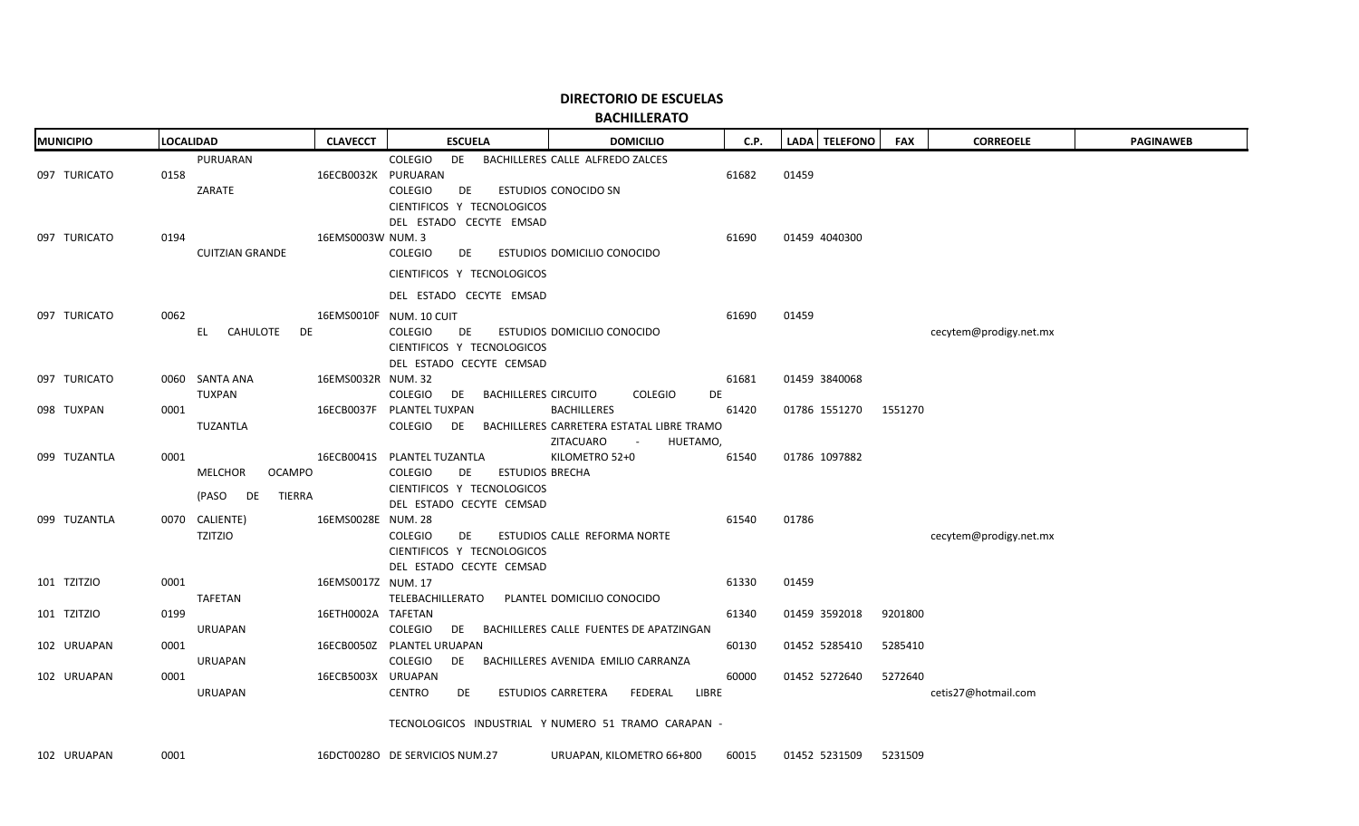**BACHILLERATO**

| <b>MUNICIPIO</b> | <b>LOCALIDAD</b>                                          | <b>CLAVECCT</b>     | <b>ESCUELA</b>                                                                                                                          | <b>DOMICILIO</b>                                                                                   | C.P.  | LADA TELEFONO | <b>FAX</b> | <b>CORREOELE</b>       | <b>PAGINAWEB</b> |
|------------------|-----------------------------------------------------------|---------------------|-----------------------------------------------------------------------------------------------------------------------------------------|----------------------------------------------------------------------------------------------------|-------|---------------|------------|------------------------|------------------|
| 097 TURICATO     | PURUARAN<br>0158<br>ZARATE                                | 16ECB0032K PURUARAN | <b>COLEGIO</b><br>DE<br>COLEGIO<br>DE<br>CIENTIFICOS Y TECNOLOGICOS<br>DEL ESTADO CECYTE EMSAD                                          | BACHILLERES CALLE ALFREDO ZALCES<br>ESTUDIOS CONOCIDO SN                                           | 61682 | 01459         |            |                        |                  |
| 097 TURICATO     | 0194<br><b>CUITZIAN GRANDE</b>                            | 16EMS0003W NUM. 3   | <b>COLEGIO</b><br>DE<br>CIENTIFICOS Y TECNOLOGICOS                                                                                      | ESTUDIOS DOMICILIO CONOCIDO                                                                        | 61690 | 01459 4040300 |            |                        |                  |
| 097 TURICATO     | 0062<br>CAHULOTE<br>DE<br>EL –                            |                     | DEL ESTADO CECYTE EMSAD<br>16EMS0010F NUM. 10 CUIT<br><b>COLEGIO</b><br>DE<br>CIENTIFICOS Y TECNOLOGICOS<br>DEL ESTADO CECYTE CEMSAD    | ESTUDIOS DOMICILIO CONOCIDO                                                                        | 61690 | 01459         |            | cecytem@prodigy.net.mx |                  |
| 097 TURICATO     | 0060 SANTA ANA<br><b>TUXPAN</b>                           | 16EMS0032R NUM. 32  | COLEGIO<br><b>BACHILLERES CIRCUITO</b><br>DE                                                                                            | <b>COLEGIO</b><br>DE                                                                               | 61681 | 01459 3840068 |            |                        |                  |
| 098 TUXPAN       | 0001<br>TUZANTLA                                          |                     | 16ECB0037F PLANTEL TUXPAN<br>COLEGIO<br>DE                                                                                              | <b>BACHILLERES</b><br>BACHILLERES CARRETERA ESTATAL LIBRE TRAMO<br>ZITACUARO<br>HUETAMO,<br>$\sim$ | 61420 | 01786 1551270 | 1551270    |                        |                  |
| 099 TUZANTLA     | 0001<br>MELCHOR<br><b>OCAMPO</b><br>(PASO<br>TIERRA<br>DE |                     | 16ECB0041S PLANTEL TUZANTLA<br><b>COLEGIO</b><br><b>ESTUDIOS BRECHA</b><br>DE<br>CIENTIFICOS Y TECNOLOGICOS<br>DEL ESTADO CECYTE CEMSAD | KILOMETRO 52+0                                                                                     | 61540 | 01786 1097882 |            |                        |                  |
| 099 TUZANTLA     | 0070 CALIENTE)<br><b>TZITZIO</b>                          | 16EMS0028E NUM. 28  | <b>COLEGIO</b><br>DE<br>CIENTIFICOS Y TECNOLOGICOS<br>DEL ESTADO CECYTE CEMSAD                                                          | ESTUDIOS CALLE REFORMA NORTE                                                                       | 61540 | 01786         |            | cecytem@prodigy.net.mx |                  |
| 101 TZITZIO      | 0001<br><b>TAFETAN</b>                                    | 16EMS0017Z NUM. 17  | TELEBACHILLERATO                                                                                                                        | PLANTEL DOMICILIO CONOCIDO                                                                         | 61330 | 01459         |            |                        |                  |
| 101 TZITZIO      | 0199<br><b>URUAPAN</b>                                    | 16ETH0002A TAFETAN  | COLEGIO<br><b>DE</b>                                                                                                                    | BACHILLERES CALLE FUENTES DE APATZINGAN                                                            | 61340 | 01459 3592018 | 9201800    |                        |                  |
| 102 URUAPAN      | 0001<br><b>URUAPAN</b>                                    |                     | 16ECB0050Z PLANTEL URUAPAN<br><b>COLEGIO</b><br>DE                                                                                      | BACHILLERES AVENIDA EMILIO CARRANZA                                                                | 60130 | 01452 5285410 | 5285410    |                        |                  |
| 102 URUAPAN      | 0001<br><b>URUAPAN</b>                                    | 16ECB5003X URUAPAN  | <b>CENTRO</b><br>DE                                                                                                                     | ESTUDIOS CARRETERA<br>FEDERAL<br>LIBRE                                                             | 60000 | 01452 5272640 | 5272640    | cetis27@hotmail.com    |                  |
|                  |                                                           |                     |                                                                                                                                         | TECNOLOGICOS INDUSTRIAL Y NUMERO 51 TRAMO CARAPAN -                                                |       |               |            |                        |                  |
| 102 URUAPAN      | 0001                                                      |                     | 16DCT0028O DE SERVICIOS NUM.27                                                                                                          | URUAPAN, KILOMETRO 66+800                                                                          | 60015 | 01452 5231509 | 5231509    |                        |                  |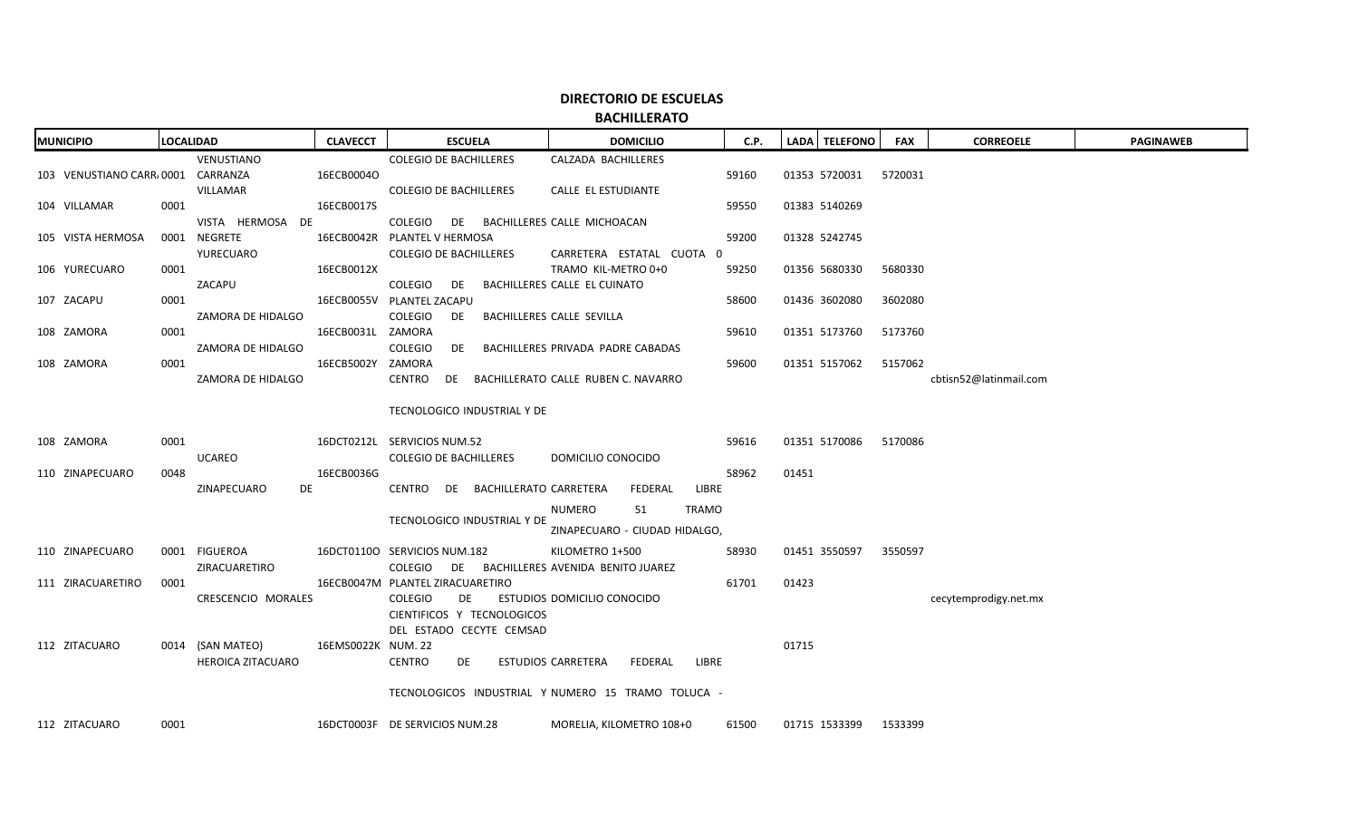|                             | <b>MUNICIPIO</b>                  |      | <b>LOCALIDAD</b>            | <b>CLAVECCT</b>    | <b>ESCUELA</b>                                | <b>DOMICILIO</b>                                   | C.P.  |       | LADA TELEFONO         | <b>FAX</b> | <b>CORREOELE</b>       | <b>PAGINAWEB</b> |
|-----------------------------|-----------------------------------|------|-----------------------------|--------------------|-----------------------------------------------|----------------------------------------------------|-------|-------|-----------------------|------------|------------------------|------------------|
|                             |                                   |      | VENUSTIANO                  |                    | <b>COLEGIO DE BACHILLERES</b>                 | CALZADA BACHILLERES                                |       |       |                       |            |                        |                  |
|                             | 103 VENUSTIANO CARR/0001 CARRANZA |      |                             | 16ECB0004O         |                                               |                                                    | 59160 |       | 01353 5720031         | 5720031    |                        |                  |
|                             |                                   |      | VILLAMAR                    |                    | <b>COLEGIO DE BACHILLERES</b>                 | CALLE EL ESTUDIANTE                                |       |       |                       |            |                        |                  |
|                             | 104 VILLAMAR                      | 0001 |                             | 16ECB0017S         |                                               |                                                    | 59550 |       | 01383 5140269         |            |                        |                  |
|                             |                                   |      | VISTA HERMOSA DE            |                    | COLEGIO DE BACHILLERES CALLE MICHOACAN        |                                                    |       |       |                       |            |                        |                  |
|                             | 105 VISTA HERMOSA                 |      | 0001 NEGRETE                |                    | 16ECB0042R PLANTEL V HERMOSA                  |                                                    | 59200 |       | 01328 5242745         |            |                        |                  |
|                             |                                   |      | YURECUARO                   |                    | <b>COLEGIO DE BACHILLERES</b>                 | CARRETERA ESTATAL CUOTA 0                          |       |       |                       |            |                        |                  |
|                             | 106 YURECUARO                     | 0001 |                             | 16ECB0012X         |                                               | TRAMO KIL-METRO 0+0                                | 59250 |       | 01356 5680330         | 5680330    |                        |                  |
|                             |                                   |      | ZACAPU                      |                    | COLEGIO DE                                    | BACHILLERES CALLE EL CUINATO                       |       |       |                       |            |                        |                  |
|                             | 107 ZACAPU                        | 0001 |                             |                    | 16ECB0055V PLANTEL ZACAPU                     |                                                    | 58600 |       | 01436 3602080         | 3602080    |                        |                  |
|                             |                                   |      | ZAMORA DE HIDALGO           |                    | COLEGIO<br>DE                                 | BACHILLERES CALLE SEVILLA                          |       |       |                       |            |                        |                  |
|                             | 108 ZAMORA                        | 0001 |                             | 16ECB0031L ZAMORA  |                                               |                                                    | 59610 |       | 01351 5173760         | 5173760    |                        |                  |
|                             |                                   |      | ZAMORA DE HIDALGO           |                    | COLEGIO<br>DE                                 | BACHILLERES PRIVADA PADRE CABADAS                  |       |       |                       |            |                        |                  |
|                             | 108 ZAMORA                        | 0001 |                             | 16ECB5002Y ZAMORA  |                                               |                                                    | 59600 |       | 01351 5157062         | 5157062    |                        |                  |
|                             |                                   |      | ZAMORA DE HIDALGO           |                    | CENTRO DE BACHILLERATO CALLE RUBEN C. NAVARRO |                                                    |       |       |                       |            | cbtisn52@latinmail.com |                  |
|                             |                                   |      | TECNOLOGICO INDUSTRIAL Y DE |                    |                                               |                                                    |       |       |                       |            |                        |                  |
|                             |                                   |      |                             |                    |                                               |                                                    |       |       |                       |            |                        |                  |
|                             | 108 ZAMORA                        | 0001 |                             |                    | 16DCT0212L SERVICIOS NUM.52                   |                                                    | 59616 |       | 01351 5170086         | 5170086    |                        |                  |
|                             |                                   |      | UCAREO                      |                    | <b>COLEGIO DE BACHILLERES</b>                 | DOMICILIO CONOCIDO                                 |       |       |                       |            |                        |                  |
|                             | 110 ZINAPECUARO                   | 0048 |                             | 16ECB0036G         |                                               |                                                    | 58962 | 01451 |                       |            |                        |                  |
|                             |                                   |      | ZINAPECUARO<br>DE           |                    | CENTRO DE BACHILLERATO CARRETERA              | FEDERAL<br>LIBRE                                   |       |       |                       |            |                        |                  |
|                             |                                   |      |                             |                    |                                               | NUMERO<br>51<br><b>TRAMO</b>                       |       |       |                       |            |                        |                  |
| TECNOLOGICO INDUSTRIAL Y DE |                                   |      |                             |                    |                                               |                                                    |       |       |                       |            |                        |                  |
|                             |                                   |      |                             |                    |                                               | ZINAPECUARO - CIUDAD HIDALGO,                      |       |       |                       |            |                        |                  |
|                             | 110 ZINAPECUARO                   |      | 0001 FIGUEROA               |                    | 16DCT0110O SERVICIOS NUM.182                  | KILOMETRO 1+500                                    | 58930 |       | 01451 3550597         | 3550597    |                        |                  |
|                             |                                   |      | ZIRACUARETIRO               |                    | COLEGIO DE BACHILLERES AVENIDA BENITO JUAREZ  |                                                    |       |       |                       |            |                        |                  |
|                             | 111 ZIRACUARETIRO                 | 0001 |                             |                    | 16ECB0047M PLANTEL ZIRACUARETIRO              |                                                    | 61701 | 01423 |                       |            |                        |                  |
|                             |                                   |      | CRESCENCIO MORALES          |                    | COLEGIO<br>DE                                 | ESTUDIOS DOMICILIO CONOCIDO                        |       |       |                       |            | cecytemprodigy.net.mx  |                  |
|                             |                                   |      |                             |                    | CIENTIFICOS Y TECNOLOGICOS                    |                                                    |       |       |                       |            |                        |                  |
|                             |                                   |      |                             |                    | DEL ESTADO CECYTE CEMSAD                      |                                                    |       |       |                       |            |                        |                  |
|                             | 112 ZITACUARO                     |      | 0014 (SAN MATEO)            | 16EMS0022K NUM. 22 |                                               |                                                    |       | 01715 |                       |            |                        |                  |
|                             |                                   |      | <b>HEROICA ZITACUARO</b>    |                    | CENTRO<br>DE                                  | <b>ESTUDIOS CARRETERA</b><br>FEDERAL<br>LIBRE      |       |       |                       |            |                        |                  |
|                             |                                   |      |                             |                    |                                               |                                                    |       |       |                       |            |                        |                  |
|                             |                                   |      |                             |                    |                                               | TECNOLOGICOS INDUSTRIAL Y NUMERO 15 TRAMO TOLUCA - |       |       |                       |            |                        |                  |
|                             | 112 ZITACUARO                     | 0001 |                             |                    | 16DCT0003F DE SERVICIOS NUM.28                | MORELIA, KILOMETRO 108+0                           | 61500 |       | 01715 1533399 1533399 |            |                        |                  |
|                             |                                   |      |                             |                    |                                               |                                                    |       |       |                       |            |                        |                  |